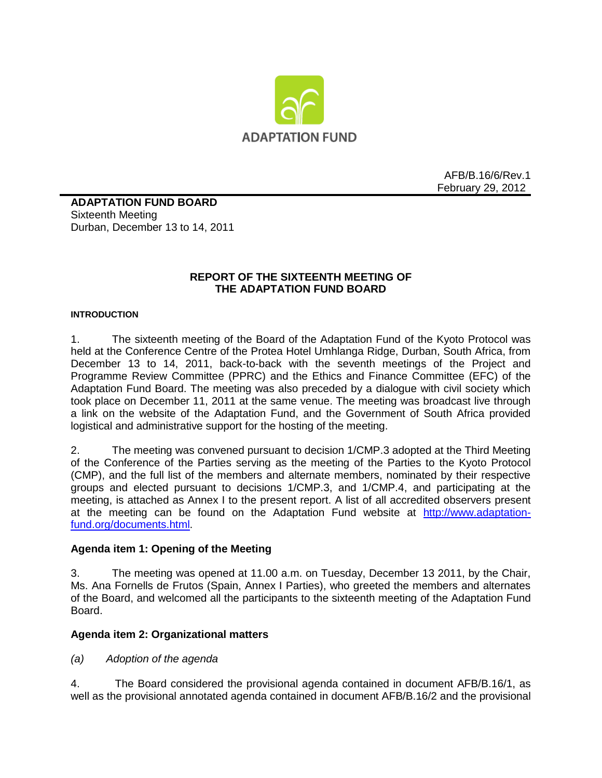

AFB/B.16/6/Rev.1 February 29, 2012

**ADAPTATION FUND BOARD**  Sixteenth Meeting Durban, December 13 to 14, 2011

## **REPORT OF THE SIXTEENTH MEETING OF THE ADAPTATION FUND BOARD**

#### **INTRODUCTION**

1. The sixteenth meeting of the Board of the Adaptation Fund of the Kyoto Protocol was held at the Conference Centre of the Protea Hotel Umhlanga Ridge, Durban, South Africa, from December 13 to 14, 2011, back-to-back with the seventh meetings of the Project and Programme Review Committee (PPRC) and the Ethics and Finance Committee (EFC) of the Adaptation Fund Board. The meeting was also preceded by a dialogue with civil society which took place on December 11, 2011 at the same venue. The meeting was broadcast live through a link on the website of the Adaptation Fund, and the Government of South Africa provided logistical and administrative support for the hosting of the meeting.

2. The meeting was convened pursuant to decision 1/CMP.3 adopted at the Third Meeting of the Conference of the Parties serving as the meeting of the Parties to the Kyoto Protocol (CMP), and the full list of the members and alternate members, nominated by their respective groups and elected pursuant to decisions 1/CMP.3, and 1/CMP.4, and participating at the meeting, is attached as Annex I to the present report. A list of all accredited observers present at the meeting can be found on the Adaptation Fund website at [http://www.adaptation](http://www.adaptation-fund.org/documents.html)[fund.org/documents.html.](http://www.adaptation-fund.org/documents.html)

#### **Agenda item 1: Opening of the Meeting**

3. The meeting was opened at 11.00 a.m. on Tuesday, December 13 2011, by the Chair, Ms. Ana Fornells de Frutos (Spain, Annex I Parties), who greeted the members and alternates of the Board, and welcomed all the participants to the sixteenth meeting of the Adaptation Fund Board.

### **Agenda item 2: Organizational matters**

*(a) Adoption of the agenda*

4. The Board considered the provisional agenda contained in document AFB/B.16/1, as well as the provisional annotated agenda contained in document AFB/B.16/2 and the provisional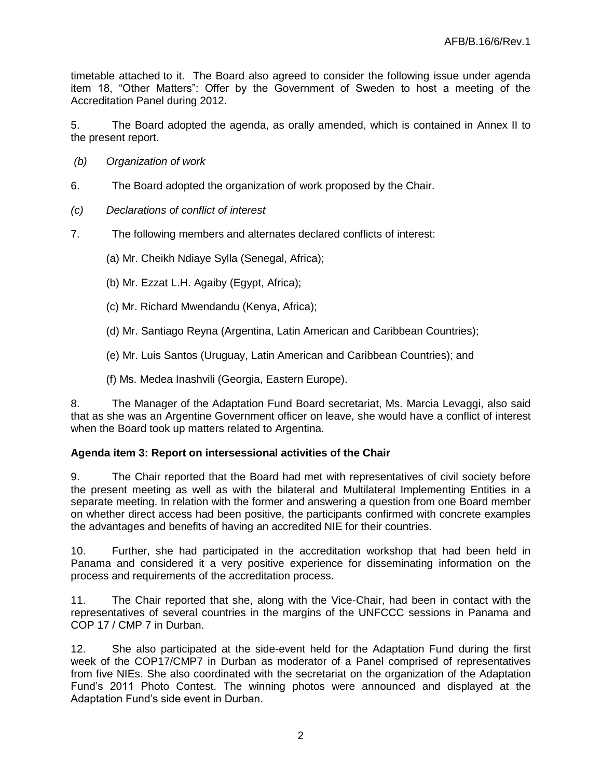timetable attached to it. The Board also agreed to consider the following issue under agenda item 18, "Other Matters": Offer by the Government of Sweden to host a meeting of the Accreditation Panel during 2012.

5. The Board adopted the agenda, as orally amended, which is contained in Annex II to the present report.

- *(b) Organization of work*
- 6. The Board adopted the organization of work proposed by the Chair.
- *(c) Declarations of conflict of interest*
- 7. The following members and alternates declared conflicts of interest:
	- (a) Mr. Cheikh Ndiaye Sylla (Senegal, Africa);
	- (b) Mr. Ezzat L.H. Agaiby (Egypt, Africa);
	- (c) Mr. Richard Mwendandu (Kenya, Africa);
	- (d) Mr. Santiago Reyna (Argentina, Latin American and Caribbean Countries);
	- (e) Mr. Luis Santos (Uruguay, Latin American and Caribbean Countries); and
	- (f) Ms. Medea Inashvili (Georgia, Eastern Europe).

8. The Manager of the Adaptation Fund Board secretariat, Ms. Marcia Levaggi, also said that as she was an Argentine Government officer on leave, she would have a conflict of interest when the Board took up matters related to Argentina.

### **Agenda item 3: Report on intersessional activities of the Chair**

9. The Chair reported that the Board had met with representatives of civil society before the present meeting as well as with the bilateral and Multilateral Implementing Entities in a separate meeting. In relation with the former and answering a question from one Board member on whether direct access had been positive, the participants confirmed with concrete examples the advantages and benefits of having an accredited NIE for their countries.

10. Further, she had participated in the accreditation workshop that had been held in Panama and considered it a very positive experience for disseminating information on the process and requirements of the accreditation process.

11. The Chair reported that she, along with the Vice-Chair, had been in contact with the representatives of several countries in the margins of the UNFCCC sessions in Panama and COP 17 / CMP 7 in Durban.

12. She also participated at the side-event held for the Adaptation Fund during the first week of the COP17/CMP7 in Durban as moderator of a Panel comprised of representatives from five NIEs. She also coordinated with the secretariat on the organization of the Adaptation Fund's 2011 Photo Contest. The winning photos were announced and displayed at the Adaptation Fund's side event in Durban.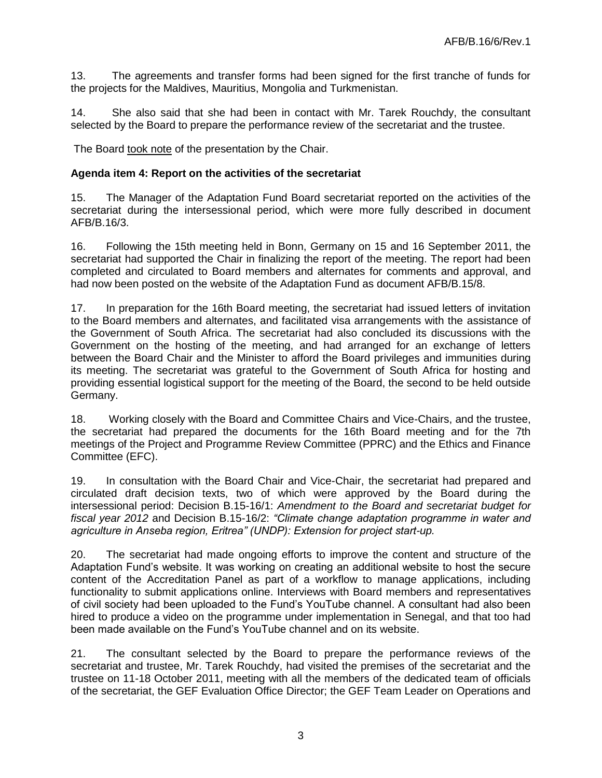13. The agreements and transfer forms had been signed for the first tranche of funds for the projects for the Maldives, Mauritius, Mongolia and Turkmenistan.

14. She also said that she had been in contact with Mr. Tarek Rouchdy, the consultant selected by the Board to prepare the performance review of the secretariat and the trustee.

The Board took note of the presentation by the Chair.

#### **Agenda item 4: Report on the activities of the secretariat**

15. The Manager of the Adaptation Fund Board secretariat reported on the activities of the secretariat during the intersessional period, which were more fully described in document AFB/B.16/3.

16. Following the 15th meeting held in Bonn, Germany on 15 and 16 September 2011, the secretariat had supported the Chair in finalizing the report of the meeting. The report had been completed and circulated to Board members and alternates for comments and approval, and had now been posted on the website of the Adaptation Fund as document AFB/B.15/8.

17. In preparation for the 16th Board meeting, the secretariat had issued letters of invitation to the Board members and alternates, and facilitated visa arrangements with the assistance of the Government of South Africa. The secretariat had also concluded its discussions with the Government on the hosting of the meeting, and had arranged for an exchange of letters between the Board Chair and the Minister to afford the Board privileges and immunities during its meeting. The secretariat was grateful to the Government of South Africa for hosting and providing essential logistical support for the meeting of the Board, the second to be held outside Germany.

18. Working closely with the Board and Committee Chairs and Vice-Chairs, and the trustee, the secretariat had prepared the documents for the 16th Board meeting and for the 7th meetings of the Project and Programme Review Committee (PPRC) and the Ethics and Finance Committee (EFC).

19. In consultation with the Board Chair and Vice-Chair, the secretariat had prepared and circulated draft decision texts, two of which were approved by the Board during the intersessional period: Decision B.15-16/1: *Amendment to the Board and secretariat budget for fiscal year 2012* and Decision B.15-16/2: *"Climate change adaptation programme in water and agriculture in Anseba region, Eritrea" (UNDP): Extension for project start-up.*

20. The secretariat had made ongoing efforts to improve the content and structure of the Adaptation Fund's website. It was working on creating an additional website to host the secure content of the Accreditation Panel as part of a workflow to manage applications, including functionality to submit applications online. Interviews with Board members and representatives of civil society had been uploaded to the Fund's YouTube channel. A consultant had also been hired to produce a video on the programme under implementation in Senegal, and that too had been made available on the Fund's YouTube channel and on its website.

21. The consultant selected by the Board to prepare the performance reviews of the secretariat and trustee, Mr. Tarek Rouchdy, had visited the premises of the secretariat and the trustee on 11-18 October 2011, meeting with all the members of the dedicated team of officials of the secretariat, the GEF Evaluation Office Director; the GEF Team Leader on Operations and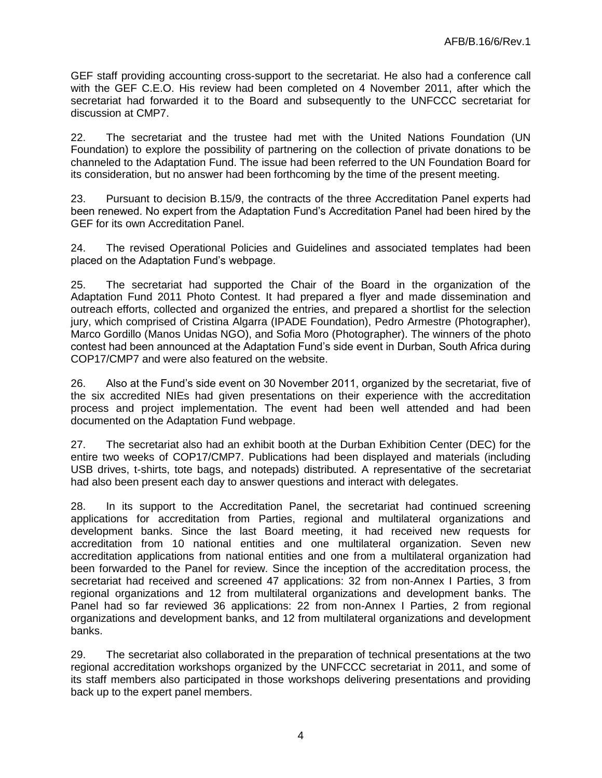GEF staff providing accounting cross-support to the secretariat. He also had a conference call with the GEF C.E.O. His review had been completed on 4 November 2011, after which the secretariat had forwarded it to the Board and subsequently to the UNFCCC secretariat for discussion at CMP7.

22. The secretariat and the trustee had met with the United Nations Foundation (UN Foundation) to explore the possibility of partnering on the collection of private donations to be channeled to the Adaptation Fund. The issue had been referred to the UN Foundation Board for its consideration, but no answer had been forthcoming by the time of the present meeting.

23. Pursuant to decision B.15/9, the contracts of the three Accreditation Panel experts had been renewed. No expert from the Adaptation Fund's Accreditation Panel had been hired by the GEF for its own Accreditation Panel.

24. The revised Operational Policies and Guidelines and associated templates had been placed on the Adaptation Fund's webpage.

25. The secretariat had supported the Chair of the Board in the organization of the Adaptation Fund 2011 Photo Contest. It had prepared a flyer and made dissemination and outreach efforts, collected and organized the entries, and prepared a shortlist for the selection jury, which comprised of Cristina Algarra (IPADE Foundation), Pedro Armestre (Photographer), Marco Gordillo (Manos Unidas NGO), and Sofia Moro (Photographer). The winners of the photo contest had been announced at the Adaptation Fund's side event in Durban, South Africa during COP17/CMP7 and were also featured on the website.

26. Also at the Fund's side event on 30 November 2011, organized by the secretariat, five of the six accredited NIEs had given presentations on their experience with the accreditation process and project implementation. The event had been well attended and had been documented on the Adaptation Fund webpage.

27. The secretariat also had an exhibit booth at the Durban Exhibition Center (DEC) for the entire two weeks of COP17/CMP7. Publications had been displayed and materials (including USB drives, t-shirts, tote bags, and notepads) distributed. A representative of the secretariat had also been present each day to answer questions and interact with delegates.

28. In its support to the Accreditation Panel, the secretariat had continued screening applications for accreditation from Parties, regional and multilateral organizations and development banks. Since the last Board meeting, it had received new requests for accreditation from 10 national entities and one multilateral organization. Seven new accreditation applications from national entities and one from a multilateral organization had been forwarded to the Panel for review. Since the inception of the accreditation process, the secretariat had received and screened 47 applications: 32 from non-Annex I Parties, 3 from regional organizations and 12 from multilateral organizations and development banks. The Panel had so far reviewed 36 applications: 22 from non-Annex I Parties, 2 from regional organizations and development banks, and 12 from multilateral organizations and development banks.

29. The secretariat also collaborated in the preparation of technical presentations at the two regional accreditation workshops organized by the UNFCCC secretariat in 2011, and some of its staff members also participated in those workshops delivering presentations and providing back up to the expert panel members.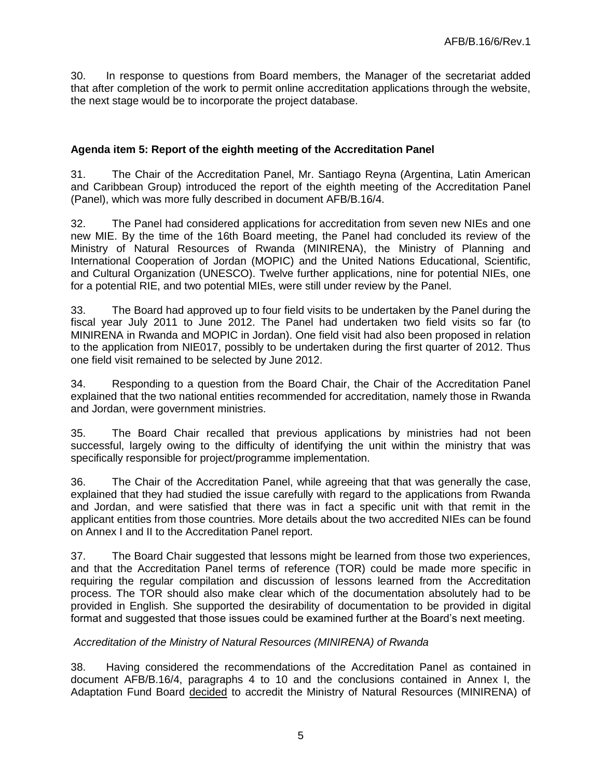30. In response to questions from Board members, the Manager of the secretariat added that after completion of the work to permit online accreditation applications through the website, the next stage would be to incorporate the project database.

## **Agenda item 5: Report of the eighth meeting of the Accreditation Panel**

31. The Chair of the Accreditation Panel, Mr. Santiago Reyna (Argentina, Latin American and Caribbean Group) introduced the report of the eighth meeting of the Accreditation Panel (Panel), which was more fully described in document AFB/B.16/4.

32. The Panel had considered applications for accreditation from seven new NIEs and one new MIE. By the time of the 16th Board meeting, the Panel had concluded its review of the Ministry of Natural Resources of Rwanda (MINIRENA), the Ministry of Planning and International Cooperation of Jordan (MOPIC) and the United Nations Educational, Scientific, and Cultural Organization (UNESCO). Twelve further applications, nine for potential NIEs, one for a potential RIE, and two potential MIEs, were still under review by the Panel.

33. The Board had approved up to four field visits to be undertaken by the Panel during the fiscal year July 2011 to June 2012. The Panel had undertaken two field visits so far (to MINIRENA in Rwanda and MOPIC in Jordan). One field visit had also been proposed in relation to the application from NIE017, possibly to be undertaken during the first quarter of 2012. Thus one field visit remained to be selected by June 2012.

34. Responding to a question from the Board Chair, the Chair of the Accreditation Panel explained that the two national entities recommended for accreditation, namely those in Rwanda and Jordan, were government ministries.

35. The Board Chair recalled that previous applications by ministries had not been successful, largely owing to the difficulty of identifying the unit within the ministry that was specifically responsible for project/programme implementation.

36. The Chair of the Accreditation Panel, while agreeing that that was generally the case, explained that they had studied the issue carefully with regard to the applications from Rwanda and Jordan, and were satisfied that there was in fact a specific unit with that remit in the applicant entities from those countries. More details about the two accredited NIEs can be found on Annex I and II to the Accreditation Panel report.

37. The Board Chair suggested that lessons might be learned from those two experiences, and that the Accreditation Panel terms of reference (TOR) could be made more specific in requiring the regular compilation and discussion of lessons learned from the Accreditation process. The TOR should also make clear which of the documentation absolutely had to be provided in English. She supported the desirability of documentation to be provided in digital format and suggested that those issues could be examined further at the Board's next meeting.

### *Accreditation of the Ministry of Natural Resources (MINIRENA) of Rwanda*

38. Having considered the recommendations of the Accreditation Panel as contained in document AFB/B.16/4, paragraphs 4 to 10 and the conclusions contained in Annex I, the Adaptation Fund Board decided to accredit the Ministry of Natural Resources (MINIRENA) of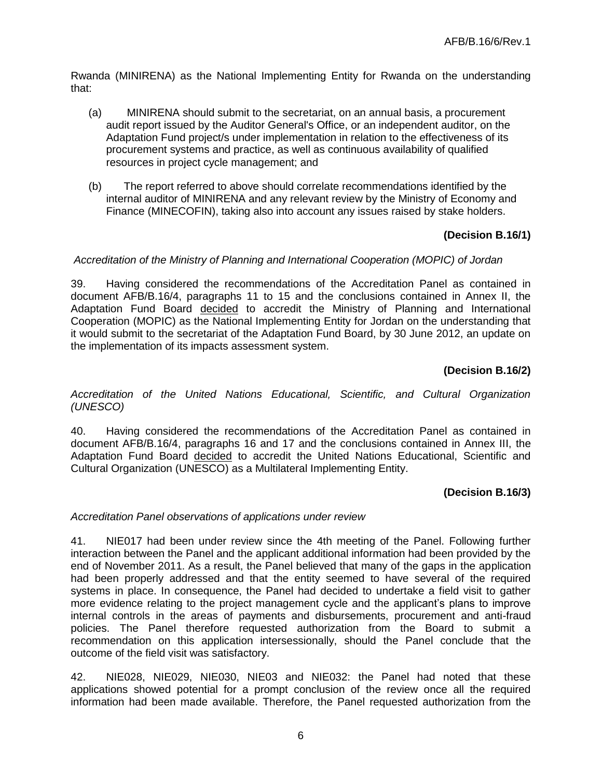Rwanda (MINIRENA) as the National Implementing Entity for Rwanda on the understanding that:

- (a) MINIRENA should submit to the secretariat, on an annual basis, a procurement audit report issued by the Auditor General's Office, or an independent auditor, on the Adaptation Fund project/s under implementation in relation to the effectiveness of its procurement systems and practice, as well as continuous availability of qualified resources in project cycle management; and
- (b) The report referred to above should correlate recommendations identified by the internal auditor of MINIRENA and any relevant review by the Ministry of Economy and Finance (MINECOFIN), taking also into account any issues raised by stake holders.

## **(Decision B.16/1)**

#### *Accreditation of the Ministry of Planning and International Cooperation (MOPIC) of Jordan*

39. Having considered the recommendations of the Accreditation Panel as contained in document AFB/B.16/4, paragraphs 11 to 15 and the conclusions contained in Annex II, the Adaptation Fund Board decided to accredit the Ministry of Planning and International Cooperation (MOPIC) as the National Implementing Entity for Jordan on the understanding that it would submit to the secretariat of the Adaptation Fund Board, by 30 June 2012, an update on the implementation of its impacts assessment system.

## **(Decision B.16/2)**

*Accreditation of the United Nations Educational, Scientific, and Cultural Organization (UNESCO)*

40. Having considered the recommendations of the Accreditation Panel as contained in document AFB/B.16/4, paragraphs 16 and 17 and the conclusions contained in Annex III, the Adaptation Fund Board decided to accredit the United Nations Educational, Scientific and Cultural Organization (UNESCO) as a Multilateral Implementing Entity.

### **(Decision B.16/3)**

#### *Accreditation Panel observations of applications under review*

41. NIE017 had been under review since the 4th meeting of the Panel. Following further interaction between the Panel and the applicant additional information had been provided by the end of November 2011. As a result, the Panel believed that many of the gaps in the application had been properly addressed and that the entity seemed to have several of the required systems in place. In consequence, the Panel had decided to undertake a field visit to gather more evidence relating to the project management cycle and the applicant's plans to improve internal controls in the areas of payments and disbursements, procurement and anti-fraud policies. The Panel therefore requested authorization from the Board to submit a recommendation on this application intersessionally, should the Panel conclude that the outcome of the field visit was satisfactory.

42. NIE028, NIE029, NIE030, NIE03 and NIE032: the Panel had noted that these applications showed potential for a prompt conclusion of the review once all the required information had been made available. Therefore, the Panel requested authorization from the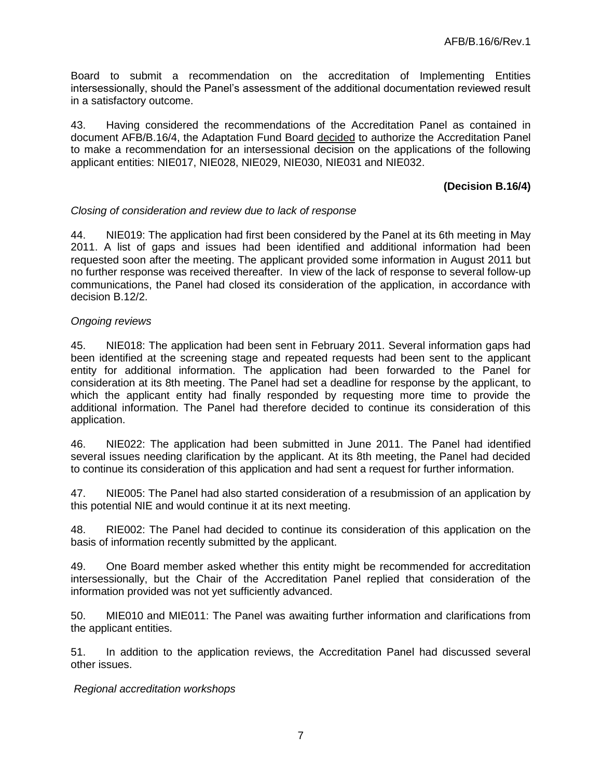Board to submit a recommendation on the accreditation of Implementing Entities intersessionally, should the Panel's assessment of the additional documentation reviewed result in a satisfactory outcome.

43. Having considered the recommendations of the Accreditation Panel as contained in document AFB/B.16/4, the Adaptation Fund Board decided to authorize the Accreditation Panel to make a recommendation for an intersessional decision on the applications of the following applicant entities: NIE017, NIE028, NIE029, NIE030, NIE031 and NIE032.

### **(Decision B.16/4)**

#### *Closing of consideration and review due to lack of response*

44. NIE019: The application had first been considered by the Panel at its 6th meeting in May 2011. A list of gaps and issues had been identified and additional information had been requested soon after the meeting. The applicant provided some information in August 2011 but no further response was received thereafter. In view of the lack of response to several follow-up communications, the Panel had closed its consideration of the application, in accordance with decision B.12/2.

#### *Ongoing reviews*

45. NIE018: The application had been sent in February 2011. Several information gaps had been identified at the screening stage and repeated requests had been sent to the applicant entity for additional information. The application had been forwarded to the Panel for consideration at its 8th meeting. The Panel had set a deadline for response by the applicant, to which the applicant entity had finally responded by requesting more time to provide the additional information. The Panel had therefore decided to continue its consideration of this application.

46. NIE022: The application had been submitted in June 2011. The Panel had identified several issues needing clarification by the applicant. At its 8th meeting, the Panel had decided to continue its consideration of this application and had sent a request for further information.

47. NIE005: The Panel had also started consideration of a resubmission of an application by this potential NIE and would continue it at its next meeting.

48. RIE002: The Panel had decided to continue its consideration of this application on the basis of information recently submitted by the applicant.

49. One Board member asked whether this entity might be recommended for accreditation intersessionally, but the Chair of the Accreditation Panel replied that consideration of the information provided was not yet sufficiently advanced.

50. MIE010 and MIE011: The Panel was awaiting further information and clarifications from the applicant entities.

51. In addition to the application reviews, the Accreditation Panel had discussed several other issues.

*Regional accreditation workshops*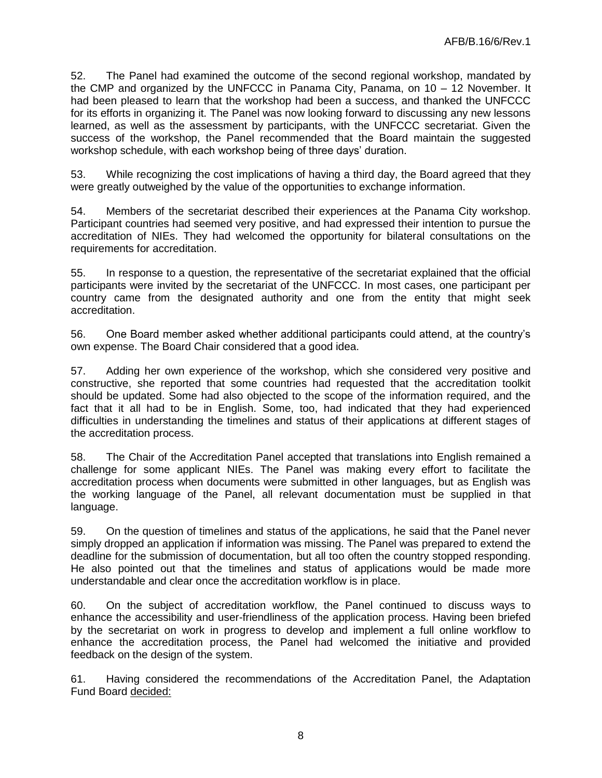52. The Panel had examined the outcome of the second regional workshop, mandated by the CMP and organized by the UNFCCC in Panama City, Panama, on 10 – 12 November. It had been pleased to learn that the workshop had been a success, and thanked the UNFCCC for its efforts in organizing it. The Panel was now looking forward to discussing any new lessons learned, as well as the assessment by participants, with the UNFCCC secretariat. Given the success of the workshop, the Panel recommended that the Board maintain the suggested workshop schedule, with each workshop being of three days' duration.

53. While recognizing the cost implications of having a third day, the Board agreed that they were greatly outweighed by the value of the opportunities to exchange information.

54. Members of the secretariat described their experiences at the Panama City workshop. Participant countries had seemed very positive, and had expressed their intention to pursue the accreditation of NIEs. They had welcomed the opportunity for bilateral consultations on the requirements for accreditation.

55. In response to a question, the representative of the secretariat explained that the official participants were invited by the secretariat of the UNFCCC. In most cases, one participant per country came from the designated authority and one from the entity that might seek accreditation.

56. One Board member asked whether additional participants could attend, at the country's own expense. The Board Chair considered that a good idea.

57. Adding her own experience of the workshop, which she considered very positive and constructive, she reported that some countries had requested that the accreditation toolkit should be updated. Some had also objected to the scope of the information required, and the fact that it all had to be in English. Some, too, had indicated that they had experienced difficulties in understanding the timelines and status of their applications at different stages of the accreditation process.

58. The Chair of the Accreditation Panel accepted that translations into English remained a challenge for some applicant NIEs. The Panel was making every effort to facilitate the accreditation process when documents were submitted in other languages, but as English was the working language of the Panel, all relevant documentation must be supplied in that language.

59. On the question of timelines and status of the applications, he said that the Panel never simply dropped an application if information was missing. The Panel was prepared to extend the deadline for the submission of documentation, but all too often the country stopped responding. He also pointed out that the timelines and status of applications would be made more understandable and clear once the accreditation workflow is in place.

60. On the subject of accreditation workflow, the Panel continued to discuss ways to enhance the accessibility and user-friendliness of the application process. Having been briefed by the secretariat on work in progress to develop and implement a full online workflow to enhance the accreditation process, the Panel had welcomed the initiative and provided feedback on the design of the system.

61. Having considered the recommendations of the Accreditation Panel, the Adaptation Fund Board decided: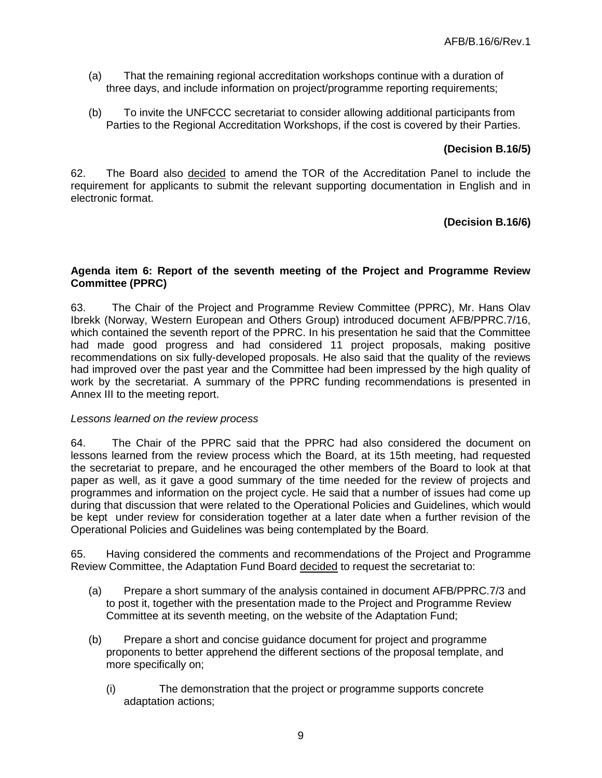- (a) That the remaining regional accreditation workshops continue with a duration of three days, and include information on project/programme reporting requirements;
- (b) To invite the UNFCCC secretariat to consider allowing additional participants from Parties to the Regional Accreditation Workshops, if the cost is covered by their Parties.

## **(Decision B.16/5)**

62. The Board also decided to amend the TOR of the Accreditation Panel to include the requirement for applicants to submit the relevant supporting documentation in English and in electronic format.

## **(Decision B.16/6)**

## **Agenda item 6: Report of the seventh meeting of the Project and Programme Review Committee (PPRC)**

63. The Chair of the Project and Programme Review Committee (PPRC), Mr. Hans Olav Ibrekk (Norway, Western European and Others Group) introduced document AFB/PPRC.7/16, which contained the seventh report of the PPRC. In his presentation he said that the Committee had made good progress and had considered 11 project proposals, making positive recommendations on six fully-developed proposals. He also said that the quality of the reviews had improved over the past year and the Committee had been impressed by the high quality of work by the secretariat. A summary of the PPRC funding recommendations is presented in Annex III to the meeting report.

### *Lessons learned on the review process*

64. The Chair of the PPRC said that the PPRC had also considered the document on lessons learned from the review process which the Board, at its 15th meeting, had requested the secretariat to prepare, and he encouraged the other members of the Board to look at that paper as well, as it gave a good summary of the time needed for the review of projects and programmes and information on the project cycle. He said that a number of issues had come up during that discussion that were related to the Operational Policies and Guidelines, which would be kept under review for consideration together at a later date when a further revision of the Operational Policies and Guidelines was being contemplated by the Board.

- (a) Prepare a short summary of the analysis contained in document AFB/PPRC.7/3 and to post it, together with the presentation made to the Project and Programme Review Committee at its seventh meeting, on the website of the Adaptation Fund;
- (b) Prepare a short and concise guidance document for project and programme proponents to better apprehend the different sections of the proposal template, and more specifically on;
	- (i) The demonstration that the project or programme supports concrete adaptation actions;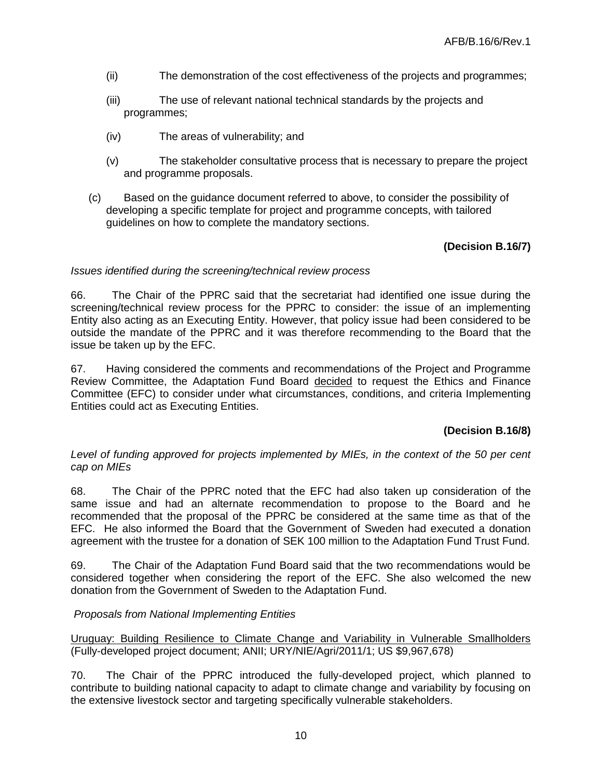- (ii) The demonstration of the cost effectiveness of the projects and programmes;
- (iii) The use of relevant national technical standards by the projects and programmes;
- (iv) The areas of vulnerability; and
- (v) The stakeholder consultative process that is necessary to prepare the project and programme proposals.
- (c) Based on the guidance document referred to above, to consider the possibility of developing a specific template for project and programme concepts, with tailored guidelines on how to complete the mandatory sections.

### **(Decision B.16/7)**

#### *Issues identified during the screening/technical review process*

66. The Chair of the PPRC said that the secretariat had identified one issue during the screening/technical review process for the PPRC to consider: the issue of an implementing Entity also acting as an Executing Entity. However, that policy issue had been considered to be outside the mandate of the PPRC and it was therefore recommending to the Board that the issue be taken up by the EFC.

67. Having considered the comments and recommendations of the Project and Programme Review Committee, the Adaptation Fund Board decided to request the Ethics and Finance Committee (EFC) to consider under what circumstances, conditions, and criteria Implementing Entities could act as Executing Entities.

### **(Decision B.16/8)**

#### *Level of funding approved for projects implemented by MIEs, in the context of the 50 per cent cap on MIEs*

68. The Chair of the PPRC noted that the EFC had also taken up consideration of the same issue and had an alternate recommendation to propose to the Board and he recommended that the proposal of the PPRC be considered at the same time as that of the EFC. He also informed the Board that the Government of Sweden had executed a donation agreement with the trustee for a donation of SEK 100 million to the Adaptation Fund Trust Fund.

69. The Chair of the Adaptation Fund Board said that the two recommendations would be considered together when considering the report of the EFC. She also welcomed the new donation from the Government of Sweden to the Adaptation Fund.

### *Proposals from National Implementing Entities*

Uruguay: Building Resilience to Climate Change and Variability in Vulnerable Smallholders (Fully-developed project document; ANII; URY/NIE/Agri/2011/1; US \$9,967,678)

70. The Chair of the PPRC introduced the fully-developed project, which planned to contribute to building national capacity to adapt to climate change and variability by focusing on the extensive livestock sector and targeting specifically vulnerable stakeholders.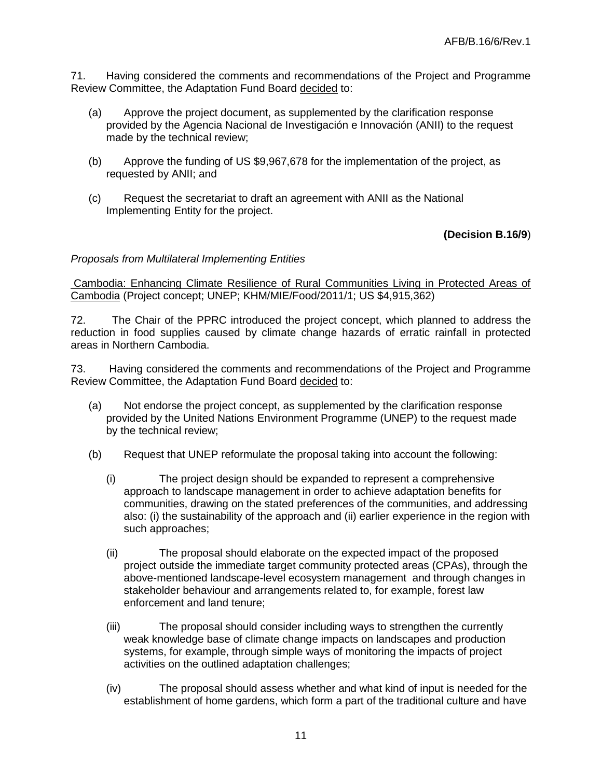71. Having considered the comments and recommendations of the Project and Programme Review Committee, the Adaptation Fund Board decided to:

- (a) Approve the project document, as supplemented by the clarification response provided by the Agencia Nacional de Investigación e Innovación (ANII) to the request made by the technical review;
- (b) Approve the funding of US \$9,967,678 for the implementation of the project, as requested by ANII; and
- (c) Request the secretariat to draft an agreement with ANII as the National Implementing Entity for the project.

**(Decision B.16/9**)

## *Proposals from Multilateral Implementing Entities*

Cambodia: Enhancing Climate Resilience of Rural Communities Living in Protected Areas of Cambodia (Project concept; UNEP; KHM/MIE/Food/2011/1; US \$4,915,362)

72. The Chair of the PPRC introduced the project concept, which planned to address the reduction in food supplies caused by climate change hazards of erratic rainfall in protected areas in Northern Cambodia.

- (a) Not endorse the project concept, as supplemented by the clarification response provided by the United Nations Environment Programme (UNEP) to the request made by the technical review;
- (b) Request that UNEP reformulate the proposal taking into account the following:
	- (i) The project design should be expanded to represent a comprehensive approach to landscape management in order to achieve adaptation benefits for communities, drawing on the stated preferences of the communities, and addressing also: (i) the sustainability of the approach and (ii) earlier experience in the region with such approaches;
	- (ii) The proposal should elaborate on the expected impact of the proposed project outside the immediate target community protected areas (CPAs), through the above-mentioned landscape-level ecosystem management and through changes in stakeholder behaviour and arrangements related to, for example, forest law enforcement and land tenure;
	- (iii) The proposal should consider including ways to strengthen the currently weak knowledge base of climate change impacts on landscapes and production systems, for example, through simple ways of monitoring the impacts of project activities on the outlined adaptation challenges;
	- (iv) The proposal should assess whether and what kind of input is needed for the establishment of home gardens, which form a part of the traditional culture and have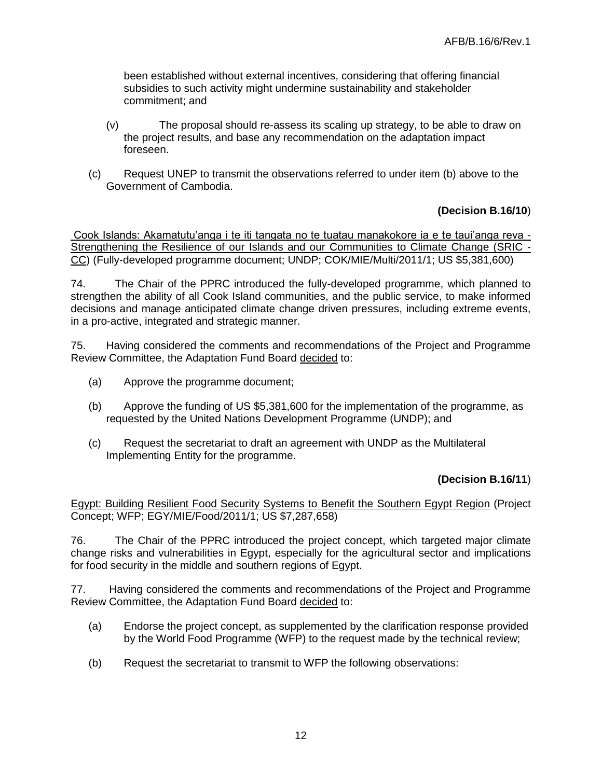been established without external incentives, considering that offering financial subsidies to such activity might undermine sustainability and stakeholder commitment; and

- (v) The proposal should re-assess its scaling up strategy, to be able to draw on the project results, and base any recommendation on the adaptation impact foreseen.
- (c) Request UNEP to transmit the observations referred to under item (b) above to the Government of Cambodia.

## **(Decision B.16/10**)

Cook Islands: Akamatutu'anga i te iti tangata no te tuatau manakokore ia e te taui'anga reva - Strengthening the Resilience of our Islands and our Communities to Climate Change (SRIC - CC) (Fully-developed programme document; UNDP; COK/MIE/Multi/2011/1; US \$5,381,600)

74. The Chair of the PPRC introduced the fully-developed programme, which planned to strengthen the ability of all Cook Island communities, and the public service, to make informed decisions and manage anticipated climate change driven pressures, including extreme events, in a pro-active, integrated and strategic manner.

75. Having considered the comments and recommendations of the Project and Programme Review Committee, the Adaptation Fund Board decided to:

- (a) Approve the programme document;
- (b) Approve the funding of US \$5,381,600 for the implementation of the programme, as requested by the United Nations Development Programme (UNDP); and
- (c) Request the secretariat to draft an agreement with UNDP as the Multilateral Implementing Entity for the programme.

#### **(Decision B.16/11**)

Egypt: Building Resilient Food Security Systems to Benefit the Southern Egypt Region (Project Concept; WFP; EGY/MIE/Food/2011/1; US \$7,287,658)

76. The Chair of the PPRC introduced the project concept, which targeted major climate change risks and vulnerabilities in Egypt, especially for the agricultural sector and implications for food security in the middle and southern regions of Egypt.

- (a) Endorse the project concept, as supplemented by the clarification response provided by the World Food Programme (WFP) to the request made by the technical review;
- (b) Request the secretariat to transmit to WFP the following observations: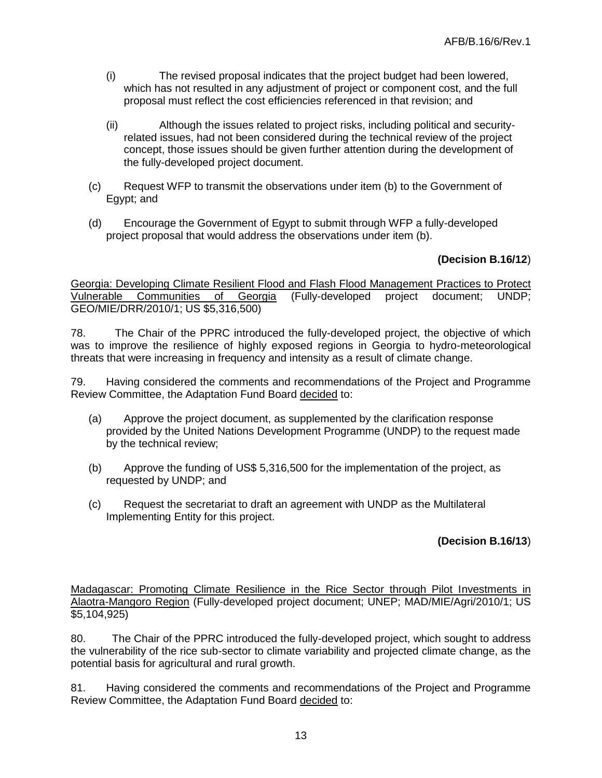- (i) The revised proposal indicates that the project budget had been lowered, which has not resulted in any adjustment of project or component cost, and the full proposal must reflect the cost efficiencies referenced in that revision; and
- (ii) Although the issues related to project risks, including political and securityrelated issues, had not been considered during the technical review of the project concept, those issues should be given further attention during the development of the fully-developed project document.
- (c) Request WFP to transmit the observations under item (b) to the Government of Egypt; and
- (d) Encourage the Government of Egypt to submit through WFP a fully-developed project proposal that would address the observations under item (b).

## **(Decision B.16/12**)

Georgia: Developing Climate Resilient Flood and Flash Flood Management Practices to Protect Vulnerable Communities of Georgia (Fully-developed project document; UNDP; GEO/MIE/DRR/2010/1; US \$5,316,500)

78. The Chair of the PPRC introduced the fully-developed project, the objective of which was to improve the resilience of highly exposed regions in Georgia to hydro-meteorological threats that were increasing in frequency and intensity as a result of climate change.

79. Having considered the comments and recommendations of the Project and Programme Review Committee, the Adaptation Fund Board decided to:

- (a) Approve the project document, as supplemented by the clarification response provided by the United Nations Development Programme (UNDP) to the request made by the technical review;
- (b) Approve the funding of US\$ 5,316,500 for the implementation of the project, as requested by UNDP; and
- (c) Request the secretariat to draft an agreement with UNDP as the Multilateral Implementing Entity for this project.

## **(Decision B.16/13**)

Madagascar: Promoting Climate Resilience in the Rice Sector through Pilot Investments in Alaotra-Mangoro Region (Fully-developed project document; UNEP; MAD/MIE/Agri/2010/1; US \$5,104,925)

80. The Chair of the PPRC introduced the fully-developed project, which sought to address the vulnerability of the rice sub-sector to climate variability and projected climate change, as the potential basis for agricultural and rural growth.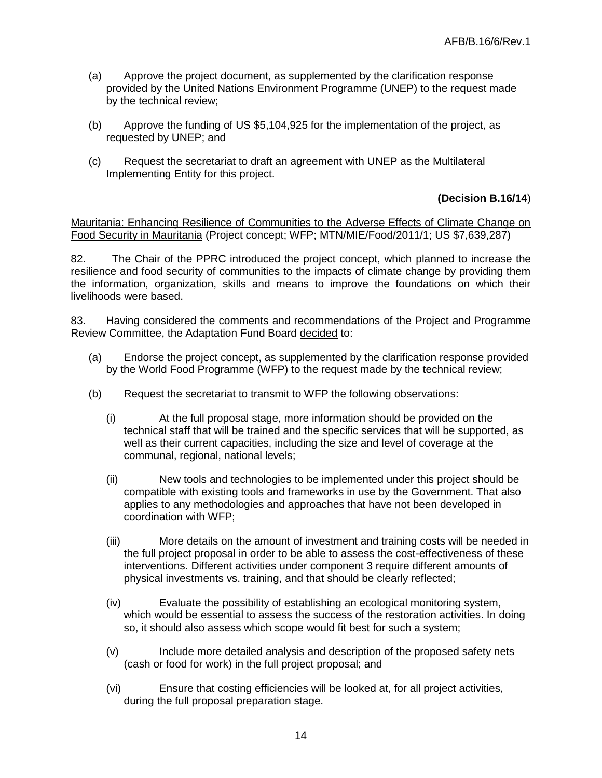- (a) Approve the project document, as supplemented by the clarification response provided by the United Nations Environment Programme (UNEP) to the request made by the technical review;
- (b) Approve the funding of US \$5,104,925 for the implementation of the project, as requested by UNEP; and
- (c) Request the secretariat to draft an agreement with UNEP as the Multilateral Implementing Entity for this project.

## **(Decision B.16/14**)

Mauritania: Enhancing Resilience of Communities to the Adverse Effects of Climate Change on Food Security in Mauritania (Project concept; WFP; MTN/MIE/Food/2011/1; US \$7,639,287)

82. The Chair of the PPRC introduced the project concept, which planned to increase the resilience and food security of communities to the impacts of climate change by providing them the information, organization, skills and means to improve the foundations on which their livelihoods were based.

- (a) Endorse the project concept, as supplemented by the clarification response provided by the World Food Programme (WFP) to the request made by the technical review;
- (b) Request the secretariat to transmit to WFP the following observations:
	- (i) At the full proposal stage, more information should be provided on the technical staff that will be trained and the specific services that will be supported, as well as their current capacities, including the size and level of coverage at the communal, regional, national levels;
	- (ii) New tools and technologies to be implemented under this project should be compatible with existing tools and frameworks in use by the Government. That also applies to any methodologies and approaches that have not been developed in coordination with WFP;
	- (iii) More details on the amount of investment and training costs will be needed in the full project proposal in order to be able to assess the cost-effectiveness of these interventions. Different activities under component 3 require different amounts of physical investments vs. training, and that should be clearly reflected;
	- (iv) Evaluate the possibility of establishing an ecological monitoring system, which would be essential to assess the success of the restoration activities. In doing so, it should also assess which scope would fit best for such a system;
	- (v) Include more detailed analysis and description of the proposed safety nets (cash or food for work) in the full project proposal; and
	- (vi) Ensure that costing efficiencies will be looked at, for all project activities, during the full proposal preparation stage.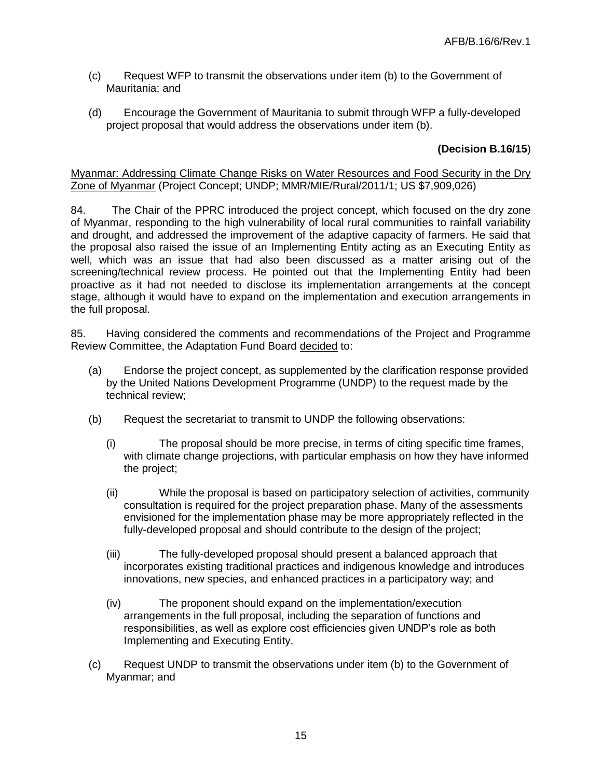- (c) Request WFP to transmit the observations under item (b) to the Government of Mauritania; and
- (d) Encourage the Government of Mauritania to submit through WFP a fully-developed project proposal that would address the observations under item (b).

## **(Decision B.16/15**)

#### Myanmar: Addressing Climate Change Risks on Water Resources and Food Security in the Dry Zone of Myanmar (Project Concept; UNDP; MMR/MIE/Rural/2011/1; US \$7,909,026)

84. The Chair of the PPRC introduced the project concept, which focused on the dry zone of Myanmar, responding to the high vulnerability of local rural communities to rainfall variability and drought, and addressed the improvement of the adaptive capacity of farmers. He said that the proposal also raised the issue of an Implementing Entity acting as an Executing Entity as well, which was an issue that had also been discussed as a matter arising out of the screening/technical review process. He pointed out that the Implementing Entity had been proactive as it had not needed to disclose its implementation arrangements at the concept stage, although it would have to expand on the implementation and execution arrangements in the full proposal.

- (a) Endorse the project concept, as supplemented by the clarification response provided by the United Nations Development Programme (UNDP) to the request made by the technical review;
- (b) Request the secretariat to transmit to UNDP the following observations:
	- (i) The proposal should be more precise, in terms of citing specific time frames, with climate change projections, with particular emphasis on how they have informed the project;
	- (ii) While the proposal is based on participatory selection of activities, community consultation is required for the project preparation phase. Many of the assessments envisioned for the implementation phase may be more appropriately reflected in the fully-developed proposal and should contribute to the design of the project;
	- (iii) The fully-developed proposal should present a balanced approach that incorporates existing traditional practices and indigenous knowledge and introduces innovations, new species, and enhanced practices in a participatory way; and
	- (iv) The proponent should expand on the implementation/execution arrangements in the full proposal, including the separation of functions and responsibilities, as well as explore cost efficiencies given UNDP's role as both Implementing and Executing Entity.
- (c) Request UNDP to transmit the observations under item (b) to the Government of Myanmar; and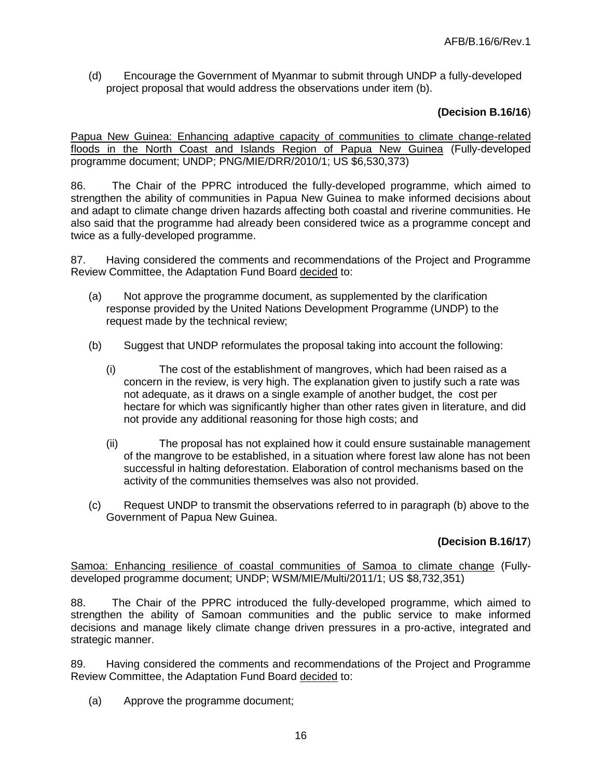(d) Encourage the Government of Myanmar to submit through UNDP a fully-developed project proposal that would address the observations under item (b).

## **(Decision B.16/16**)

Papua New Guinea: Enhancing adaptive capacity of communities to climate change-related floods in the North Coast and Islands Region of Papua New Guinea (Fully-developed programme document; UNDP; PNG/MIE/DRR/2010/1; US \$6,530,373)

86. The Chair of the PPRC introduced the fully-developed programme, which aimed to strengthen the ability of communities in Papua New Guinea to make informed decisions about and adapt to climate change driven hazards affecting both coastal and riverine communities. He also said that the programme had already been considered twice as a programme concept and twice as a fully-developed programme.

87. Having considered the comments and recommendations of the Project and Programme Review Committee, the Adaptation Fund Board decided to:

- (a) Not approve the programme document, as supplemented by the clarification response provided by the United Nations Development Programme (UNDP) to the request made by the technical review;
- (b) Suggest that UNDP reformulates the proposal taking into account the following:
	- (i) The cost of the establishment of mangroves, which had been raised as a concern in the review, is very high. The explanation given to justify such a rate was not adequate, as it draws on a single example of another budget, the cost per hectare for which was significantly higher than other rates given in literature, and did not provide any additional reasoning for those high costs; and
	- (ii) The proposal has not explained how it could ensure sustainable management of the mangrove to be established, in a situation where forest law alone has not been successful in halting deforestation. Elaboration of control mechanisms based on the activity of the communities themselves was also not provided.
- (c) Request UNDP to transmit the observations referred to in paragraph (b) above to the Government of Papua New Guinea.

## **(Decision B.16/17**)

Samoa: Enhancing resilience of coastal communities of Samoa to climate change (Fullydeveloped programme document; UNDP; WSM/MIE/Multi/2011/1; US \$8,732,351)

88. The Chair of the PPRC introduced the fully-developed programme, which aimed to strengthen the ability of Samoan communities and the public service to make informed decisions and manage likely climate change driven pressures in a pro-active, integrated and strategic manner.

89. Having considered the comments and recommendations of the Project and Programme Review Committee, the Adaptation Fund Board decided to:

(a) Approve the programme document;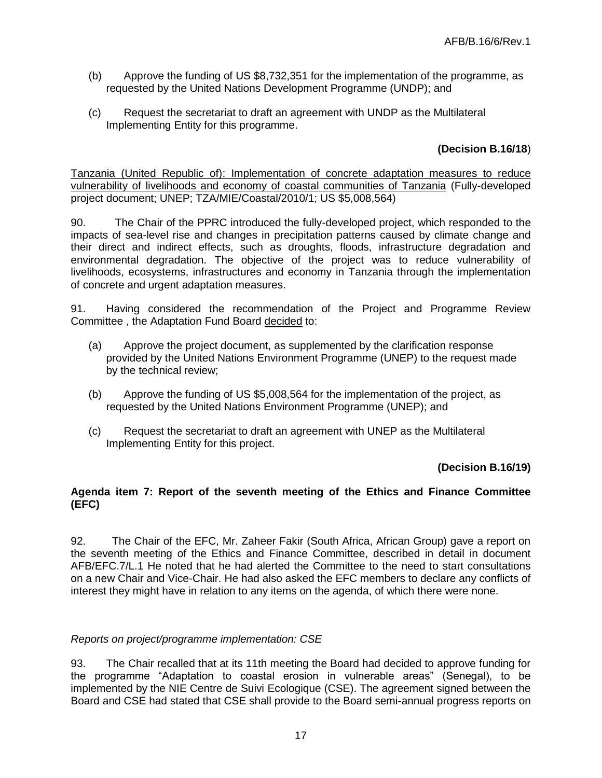- (b) Approve the funding of US \$8,732,351 for the implementation of the programme, as requested by the United Nations Development Programme (UNDP); and
- (c) Request the secretariat to draft an agreement with UNDP as the Multilateral Implementing Entity for this programme.

## **(Decision B.16/18**)

Tanzania (United Republic of): Implementation of concrete adaptation measures to reduce vulnerability of livelihoods and economy of coastal communities of Tanzania (Fully-developed project document; UNEP; TZA/MIE/Coastal/2010/1; US \$5,008,564)

90. The Chair of the PPRC introduced the fully-developed project, which responded to the impacts of sea-level rise and changes in precipitation patterns caused by climate change and their direct and indirect effects, such as droughts, floods, infrastructure degradation and environmental degradation. The objective of the project was to reduce vulnerability of livelihoods, ecosystems, infrastructures and economy in Tanzania through the implementation of concrete and urgent adaptation measures.

91. Having considered the recommendation of the Project and Programme Review Committee , the Adaptation Fund Board decided to:

- (a) Approve the project document, as supplemented by the clarification response provided by the United Nations Environment Programme (UNEP) to the request made by the technical review;
- (b) Approve the funding of US \$5,008,564 for the implementation of the project, as requested by the United Nations Environment Programme (UNEP); and
- (c) Request the secretariat to draft an agreement with UNEP as the Multilateral Implementing Entity for this project.

### **(Decision B.16/19)**

#### **Agenda item 7: Report of the seventh meeting of the Ethics and Finance Committee (EFC)**

92. The Chair of the EFC, Mr. Zaheer Fakir (South Africa, African Group) gave a report on the seventh meeting of the Ethics and Finance Committee, described in detail in document AFB/EFC.7/L.1 He noted that he had alerted the Committee to the need to start consultations on a new Chair and Vice-Chair. He had also asked the EFC members to declare any conflicts of interest they might have in relation to any items on the agenda, of which there were none.

### *Reports on project/programme implementation: CSE*

93. The Chair recalled that at its 11th meeting the Board had decided to approve funding for the programme "Adaptation to coastal erosion in vulnerable areas" (Senegal), to be implemented by the NIE Centre de Suivi Ecologique (CSE). The agreement signed between the Board and CSE had stated that CSE shall provide to the Board semi-annual progress reports on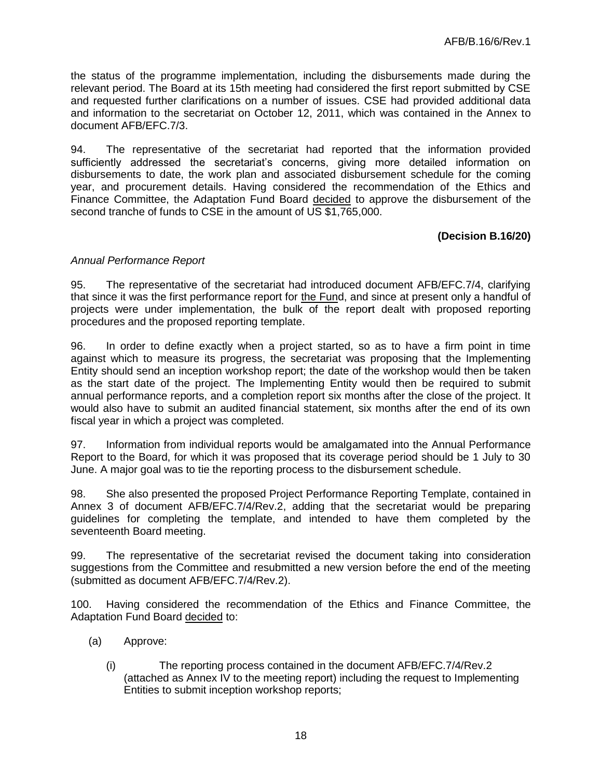the status of the programme implementation, including the disbursements made during the relevant period. The Board at its 15th meeting had considered the first report submitted by CSE and requested further clarifications on a number of issues. CSE had provided additional data and information to the secretariat on October 12, 2011, which was contained in the Annex to document AFB/EFC.7/3.

94. The representative of the secretariat had reported that the information provided sufficiently addressed the secretariat's concerns, giving more detailed information on disbursements to date, the work plan and associated disbursement schedule for the coming year, and procurement details. Having considered the recommendation of the Ethics and Finance Committee, the Adaptation Fund Board decided to approve the disbursement of the second tranche of funds to CSE in the amount of US \$1,765,000.

## **(Decision B.16/20)**

### *Annual Performance Report*

95. The representative of the secretariat had introduced document AFB/EFC.7/4, clarifying that since it was the first performance report for the Fund, and since at present only a handful of projects were under implementation, the bulk of the repo**r**t dealt with proposed reporting procedures and the proposed reporting template.

96. In order to define exactly when a project started, so as to have a firm point in time against which to measure its progress, the secretariat was proposing that the Implementing Entity should send an inception workshop report; the date of the workshop would then be taken as the start date of the project. The Implementing Entity would then be required to submit annual performance reports, and a completion report six months after the close of the project. It would also have to submit an audited financial statement, six months after the end of its own fiscal year in which a project was completed.

97. Information from individual reports would be amalgamated into the Annual Performance Report to the Board, for which it was proposed that its coverage period should be 1 July to 30 June. A major goal was to tie the reporting process to the disbursement schedule.

98. She also presented the proposed Project Performance Reporting Template, contained in Annex 3 of document AFB/EFC.7/4/Rev.2, adding that the secretariat would be preparing guidelines for completing the template, and intended to have them completed by the seventeenth Board meeting.

99. The representative of the secretariat revised the document taking into consideration suggestions from the Committee and resubmitted a new version before the end of the meeting (submitted as document AFB/EFC.7/4/Rev.2).

100. Having considered the recommendation of the Ethics and Finance Committee, the Adaptation Fund Board decided to:

- (a) Approve:
	- (i) The reporting process contained in the document AFB/EFC.7/4/Rev.2 (attached as Annex IV to the meeting report) including the request to Implementing Entities to submit inception workshop reports;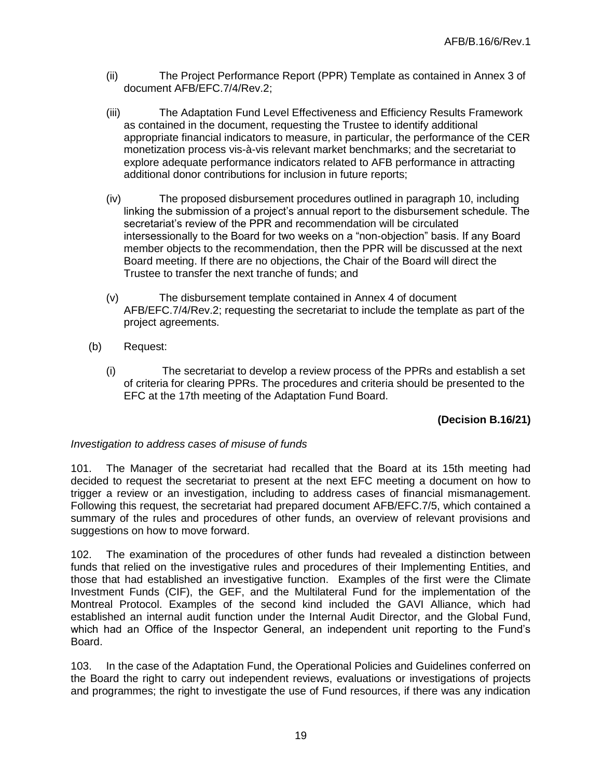- (ii) The Project Performance Report (PPR) Template as contained in Annex 3 of document AFB/EFC.7/4/Rev.2;
- (iii) The Adaptation Fund Level Effectiveness and Efficiency Results Framework as contained in the document, requesting the Trustee to identify additional appropriate financial indicators to measure, in particular, the performance of the CER monetization process vis-à-vis relevant market benchmarks; and the secretariat to explore adequate performance indicators related to AFB performance in attracting additional donor contributions for inclusion in future reports;
- (iv) The proposed disbursement procedures outlined in paragraph 10, including linking the submission of a project's annual report to the disbursement schedule. The secretariat's review of the PPR and recommendation will be circulated intersessionally to the Board for two weeks on a "non-objection" basis. If any Board member objects to the recommendation, then the PPR will be discussed at the next Board meeting. If there are no objections, the Chair of the Board will direct the Trustee to transfer the next tranche of funds; and
- (v) The disbursement template contained in Annex 4 of document AFB/EFC.7/4/Rev.2; requesting the secretariat to include the template as part of the project agreements.
- (b) Request:
	- (i) The secretariat to develop a review process of the PPRs and establish a set of criteria for clearing PPRs. The procedures and criteria should be presented to the EFC at the 17th meeting of the Adaptation Fund Board.

### **(Decision B.16/21)**

### *Investigation to address cases of misuse of funds*

101. The Manager of the secretariat had recalled that the Board at its 15th meeting had decided to request the secretariat to present at the next EFC meeting a document on how to trigger a review or an investigation, including to address cases of financial mismanagement. Following this request, the secretariat had prepared document AFB/EFC.7/5, which contained a summary of the rules and procedures of other funds, an overview of relevant provisions and suggestions on how to move forward.

102. The examination of the procedures of other funds had revealed a distinction between funds that relied on the investigative rules and procedures of their Implementing Entities, and those that had established an investigative function. Examples of the first were the Climate Investment Funds (CIF), the GEF, and the Multilateral Fund for the implementation of the Montreal Protocol. Examples of the second kind included the GAVI Alliance, which had established an internal audit function under the Internal Audit Director, and the Global Fund, which had an Office of the Inspector General, an independent unit reporting to the Fund's Board.

103. In the case of the Adaptation Fund, the Operational Policies and Guidelines conferred on the Board the right to carry out independent reviews, evaluations or investigations of projects and programmes; the right to investigate the use of Fund resources, if there was any indication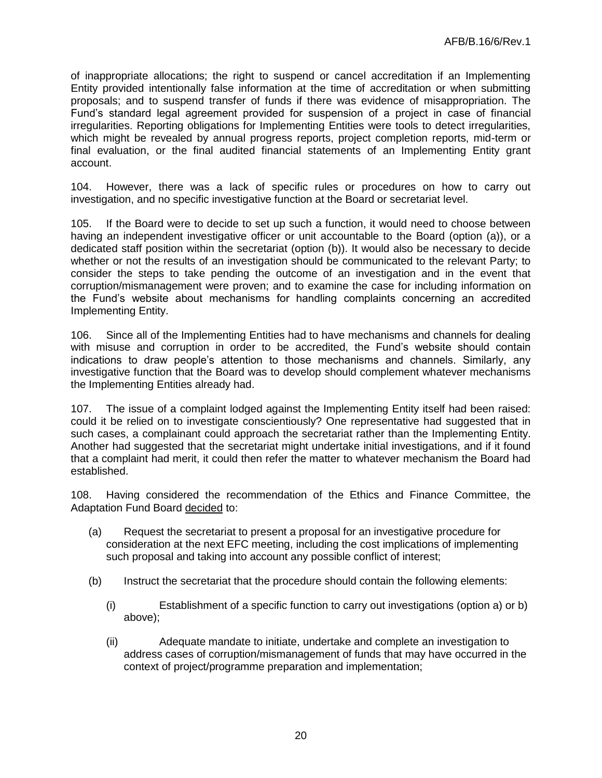of inappropriate allocations; the right to suspend or cancel accreditation if an Implementing Entity provided intentionally false information at the time of accreditation or when submitting proposals; and to suspend transfer of funds if there was evidence of misappropriation. The Fund's standard legal agreement provided for suspension of a project in case of financial irregularities. Reporting obligations for Implementing Entities were tools to detect irregularities, which might be revealed by annual progress reports, project completion reports, mid-term or final evaluation, or the final audited financial statements of an Implementing Entity grant account.

104. However, there was a lack of specific rules or procedures on how to carry out investigation, and no specific investigative function at the Board or secretariat level.

105. If the Board were to decide to set up such a function, it would need to choose between having an independent investigative officer or unit accountable to the Board (option (a)), or a dedicated staff position within the secretariat (option (b)). It would also be necessary to decide whether or not the results of an investigation should be communicated to the relevant Party; to consider the steps to take pending the outcome of an investigation and in the event that corruption/mismanagement were proven; and to examine the case for including information on the Fund's website about mechanisms for handling complaints concerning an accredited Implementing Entity.

106. Since all of the Implementing Entities had to have mechanisms and channels for dealing with misuse and corruption in order to be accredited, the Fund's website should contain indications to draw people's attention to those mechanisms and channels. Similarly, any investigative function that the Board was to develop should complement whatever mechanisms the Implementing Entities already had.

107. The issue of a complaint lodged against the Implementing Entity itself had been raised: could it be relied on to investigate conscientiously? One representative had suggested that in such cases, a complainant could approach the secretariat rather than the Implementing Entity. Another had suggested that the secretariat might undertake initial investigations, and if it found that a complaint had merit, it could then refer the matter to whatever mechanism the Board had established.

108. Having considered the recommendation of the Ethics and Finance Committee, the Adaptation Fund Board decided to:

- (a) Request the secretariat to present a proposal for an investigative procedure for consideration at the next EFC meeting, including the cost implications of implementing such proposal and taking into account any possible conflict of interest;
- (b) Instruct the secretariat that the procedure should contain the following elements:
	- (i) Establishment of a specific function to carry out investigations (option a) or b) above);
	- (ii) Adequate mandate to initiate, undertake and complete an investigation to address cases of corruption/mismanagement of funds that may have occurred in the context of project/programme preparation and implementation;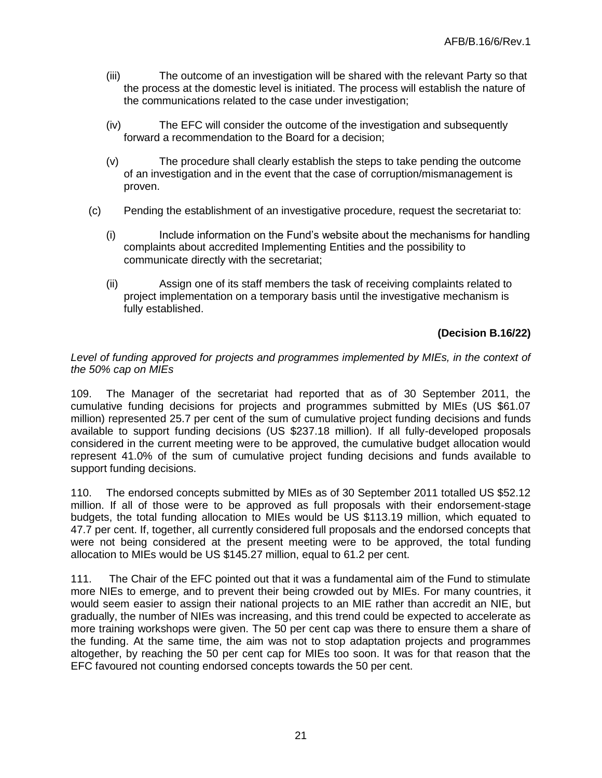- (iii) The outcome of an investigation will be shared with the relevant Party so that the process at the domestic level is initiated. The process will establish the nature of the communications related to the case under investigation;
- (iv) The EFC will consider the outcome of the investigation and subsequently forward a recommendation to the Board for a decision;
- (v) The procedure shall clearly establish the steps to take pending the outcome of an investigation and in the event that the case of corruption/mismanagement is proven.
- (c) Pending the establishment of an investigative procedure, request the secretariat to:
	- (i) Include information on the Fund's website about the mechanisms for handling complaints about accredited Implementing Entities and the possibility to communicate directly with the secretariat;
	- (ii) Assign one of its staff members the task of receiving complaints related to project implementation on a temporary basis until the investigative mechanism is fully established.

## **(Decision B.16/22)**

#### Level of funding approved for projects and programmes implemented by MIEs, in the context of *the 50% cap on MIEs*

109. The Manager of the secretariat had reported that as of 30 September 2011, the cumulative funding decisions for projects and programmes submitted by MIEs (US \$61.07 million) represented 25.7 per cent of the sum of cumulative project funding decisions and funds available to support funding decisions (US \$237.18 million). If all fully-developed proposals considered in the current meeting were to be approved, the cumulative budget allocation would represent 41.0% of the sum of cumulative project funding decisions and funds available to support funding decisions.

110. The endorsed concepts submitted by MIEs as of 30 September 2011 totalled US \$52.12 million. If all of those were to be approved as full proposals with their endorsement-stage budgets, the total funding allocation to MIEs would be US \$113.19 million, which equated to 47.7 per cent. If, together, all currently considered full proposals and the endorsed concepts that were not being considered at the present meeting were to be approved, the total funding allocation to MIEs would be US \$145.27 million, equal to 61.2 per cent.

111. The Chair of the EFC pointed out that it was a fundamental aim of the Fund to stimulate more NIEs to emerge, and to prevent their being crowded out by MIEs. For many countries, it would seem easier to assign their national projects to an MIE rather than accredit an NIE, but gradually, the number of NIEs was increasing, and this trend could be expected to accelerate as more training workshops were given. The 50 per cent cap was there to ensure them a share of the funding. At the same time, the aim was not to stop adaptation projects and programmes altogether, by reaching the 50 per cent cap for MIEs too soon. It was for that reason that the EFC favoured not counting endorsed concepts towards the 50 per cent.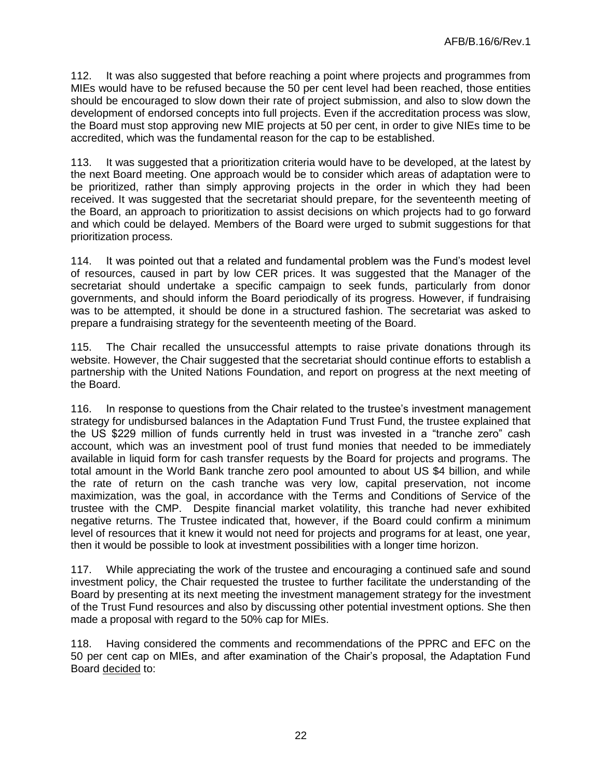112. It was also suggested that before reaching a point where projects and programmes from MIEs would have to be refused because the 50 per cent level had been reached, those entities should be encouraged to slow down their rate of project submission, and also to slow down the development of endorsed concepts into full projects. Even if the accreditation process was slow, the Board must stop approving new MIE projects at 50 per cent, in order to give NIEs time to be accredited, which was the fundamental reason for the cap to be established.

113. It was suggested that a prioritization criteria would have to be developed, at the latest by the next Board meeting. One approach would be to consider which areas of adaptation were to be prioritized, rather than simply approving projects in the order in which they had been received. It was suggested that the secretariat should prepare, for the seventeenth meeting of the Board, an approach to prioritization to assist decisions on which projects had to go forward and which could be delayed. Members of the Board were urged to submit suggestions for that prioritization process.

114. It was pointed out that a related and fundamental problem was the Fund's modest level of resources, caused in part by low CER prices. It was suggested that the Manager of the secretariat should undertake a specific campaign to seek funds, particularly from donor governments, and should inform the Board periodically of its progress. However, if fundraising was to be attempted, it should be done in a structured fashion. The secretariat was asked to prepare a fundraising strategy for the seventeenth meeting of the Board.

115. The Chair recalled the unsuccessful attempts to raise private donations through its website. However, the Chair suggested that the secretariat should continue efforts to establish a partnership with the United Nations Foundation, and report on progress at the next meeting of the Board.

116. In response to questions from the Chair related to the trustee's investment management strategy for undisbursed balances in the Adaptation Fund Trust Fund, the trustee explained that the US \$229 million of funds currently held in trust was invested in a "tranche zero" cash account, which was an investment pool of trust fund monies that needed to be immediately available in liquid form for cash transfer requests by the Board for projects and programs. The total amount in the World Bank tranche zero pool amounted to about US \$4 billion, and while the rate of return on the cash tranche was very low, capital preservation, not income maximization, was the goal, in accordance with the Terms and Conditions of Service of the trustee with the CMP. Despite financial market volatility, this tranche had never exhibited negative returns. The Trustee indicated that, however, if the Board could confirm a minimum level of resources that it knew it would not need for projects and programs for at least, one year, then it would be possible to look at investment possibilities with a longer time horizon.

117. While appreciating the work of the trustee and encouraging a continued safe and sound investment policy, the Chair requested the trustee to further facilitate the understanding of the Board by presenting at its next meeting the investment management strategy for the investment of the Trust Fund resources and also by discussing other potential investment options. She then made a proposal with regard to the 50% cap for MIEs.

118. Having considered the comments and recommendations of the PPRC and EFC on the 50 per cent cap on MIEs, and after examination of the Chair's proposal, the Adaptation Fund Board decided to: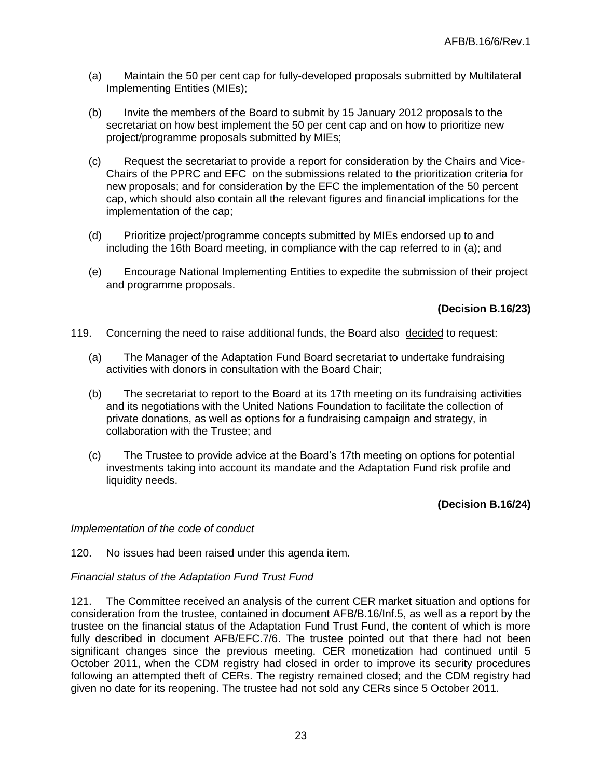- (a) Maintain the 50 per cent cap for fully-developed proposals submitted by Multilateral Implementing Entities (MIEs);
- (b) Invite the members of the Board to submit by 15 January 2012 proposals to the secretariat on how best implement the 50 per cent cap and on how to prioritize new project/programme proposals submitted by MIEs;
- (c) Request the secretariat to provide a report for consideration by the Chairs and Vice-Chairs of the PPRC and EFC on the submissions related to the prioritization criteria for new proposals; and for consideration by the EFC the implementation of the 50 percent cap, which should also contain all the relevant figures and financial implications for the implementation of the cap;
- (d) Prioritize project/programme concepts submitted by MIEs endorsed up to and including the 16th Board meeting, in compliance with the cap referred to in (a); and
- (e) Encourage National Implementing Entities to expedite the submission of their project and programme proposals.

**(Decision B.16/23)**

- 119. Concerning the need to raise additional funds, the Board also decided to request:
	- (a) The Manager of the Adaptation Fund Board secretariat to undertake fundraising activities with donors in consultation with the Board Chair;
	- (b) The secretariat to report to the Board at its 17th meeting on its fundraising activities and its negotiations with the United Nations Foundation to facilitate the collection of private donations, as well as options for a fundraising campaign and strategy, in collaboration with the Trustee; and
	- (c) The Trustee to provide advice at the Board's 17th meeting on options for potential investments taking into account its mandate and the Adaptation Fund risk profile and liquidity needs.

### **(Decision B.16/24)**

*Implementation of the code of conduct*

120. No issues had been raised under this agenda item.

#### *Financial status of the Adaptation Fund Trust Fund*

121. The Committee received an analysis of the current CER market situation and options for consideration from the trustee, contained in document AFB/B.16/Inf.5, as well as a report by the trustee on the financial status of the Adaptation Fund Trust Fund, the content of which is more fully described in document AFB/EFC.7/6. The trustee pointed out that there had not been significant changes since the previous meeting. CER monetization had continued until 5 October 2011, when the CDM registry had closed in order to improve its security procedures following an attempted theft of CERs. The registry remained closed; and the CDM registry had given no date for its reopening. The trustee had not sold any CERs since 5 October 2011.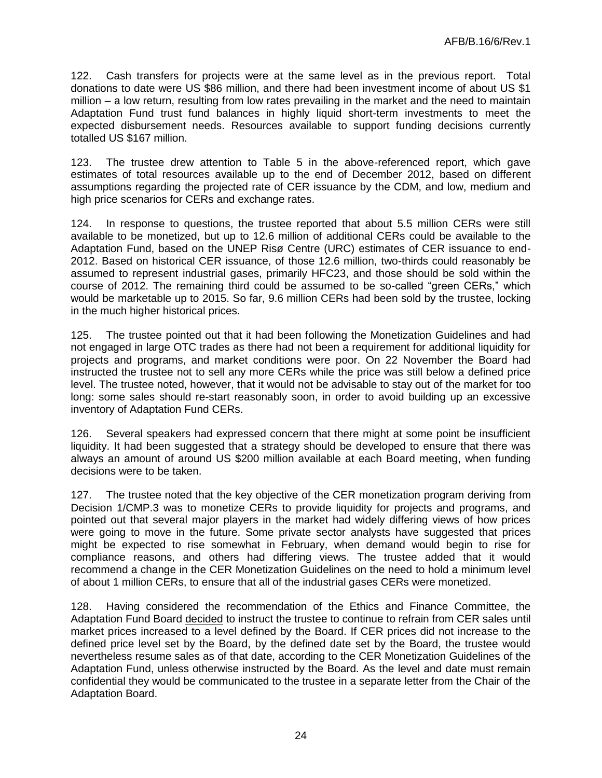122. Cash transfers for projects were at the same level as in the previous report. Total donations to date were US \$86 million, and there had been investment income of about US \$1 million – a low return, resulting from low rates prevailing in the market and the need to maintain Adaptation Fund trust fund balances in highly liquid short-term investments to meet the expected disbursement needs. Resources available to support funding decisions currently totalled US \$167 million.

123. The trustee drew attention to Table 5 in the above-referenced report, which gave estimates of total resources available up to the end of December 2012, based on different assumptions regarding the projected rate of CER issuance by the CDM, and low, medium and high price scenarios for CERs and exchange rates.

124. In response to questions, the trustee reported that about 5.5 million CERs were still available to be monetized, but up to 12.6 million of additional CERs could be available to the Adaptation Fund, based on the UNEP Risø Centre (URC) estimates of CER issuance to end-2012. Based on historical CER issuance, of those 12.6 million, two-thirds could reasonably be assumed to represent industrial gases, primarily HFC23, and those should be sold within the course of 2012. The remaining third could be assumed to be so-called "green CERs," which would be marketable up to 2015. So far, 9.6 million CERs had been sold by the trustee, locking in the much higher historical prices.

125. The trustee pointed out that it had been following the Monetization Guidelines and had not engaged in large OTC trades as there had not been a requirement for additional liquidity for projects and programs, and market conditions were poor. On 22 November the Board had instructed the trustee not to sell any more CERs while the price was still below a defined price level. The trustee noted, however, that it would not be advisable to stay out of the market for too long: some sales should re-start reasonably soon, in order to avoid building up an excessive inventory of Adaptation Fund CERs.

126. Several speakers had expressed concern that there might at some point be insufficient liquidity. It had been suggested that a strategy should be developed to ensure that there was always an amount of around US \$200 million available at each Board meeting, when funding decisions were to be taken.

127. The trustee noted that the key objective of the CER monetization program deriving from Decision 1/CMP.3 was to monetize CERs to provide liquidity for projects and programs, and pointed out that several major players in the market had widely differing views of how prices were going to move in the future. Some private sector analysts have suggested that prices might be expected to rise somewhat in February, when demand would begin to rise for compliance reasons, and others had differing views. The trustee added that it would recommend a change in the CER Monetization Guidelines on the need to hold a minimum level of about 1 million CERs, to ensure that all of the industrial gases CERs were monetized.

128. Having considered the recommendation of the Ethics and Finance Committee, the Adaptation Fund Board decided to instruct the trustee to continue to refrain from CER sales until market prices increased to a level defined by the Board. If CER prices did not increase to the defined price level set by the Board, by the defined date set by the Board, the trustee would nevertheless resume sales as of that date, according to the CER Monetization Guidelines of the Adaptation Fund, unless otherwise instructed by the Board. As the level and date must remain confidential they would be communicated to the trustee in a separate letter from the Chair of the Adaptation Board.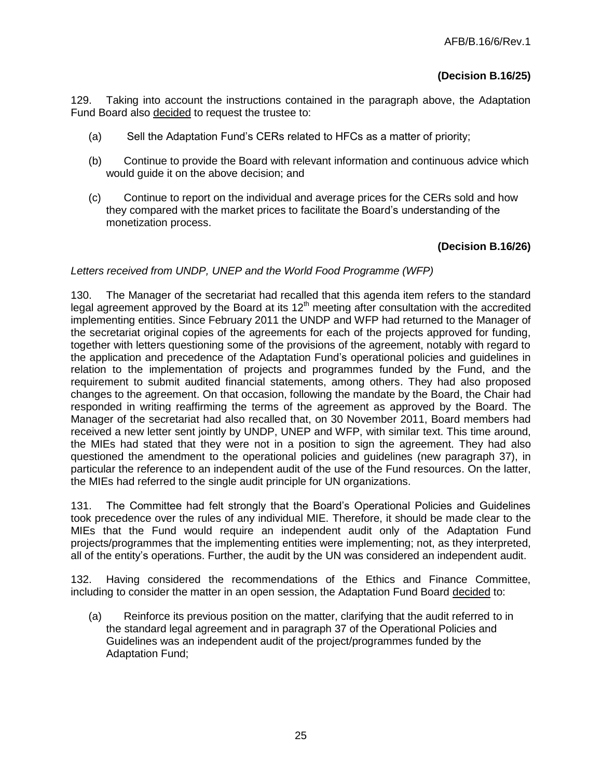129. Taking into account the instructions contained in the paragraph above, the Adaptation Fund Board also decided to request the trustee to:

- (a) Sell the Adaptation Fund's CERs related to HFCs as a matter of priority;
- (b) Continue to provide the Board with relevant information and continuous advice which would guide it on the above decision; and
- (c) Continue to report on the individual and average prices for the CERs sold and how they compared with the market prices to facilitate the Board's understanding of the monetization process.

## **(Decision B.16/26)**

## *Letters received from UNDP, UNEP and the World Food Programme (WFP)*

130. The Manager of the secretariat had recalled that this agenda item refers to the standard legal agreement approved by the Board at its  $12<sup>th</sup>$  meeting after consultation with the accredited implementing entities. Since February 2011 the UNDP and WFP had returned to the Manager of the secretariat original copies of the agreements for each of the projects approved for funding, together with letters questioning some of the provisions of the agreement, notably with regard to the application and precedence of the Adaptation Fund's operational policies and guidelines in relation to the implementation of projects and programmes funded by the Fund, and the requirement to submit audited financial statements, among others. They had also proposed changes to the agreement. On that occasion, following the mandate by the Board, the Chair had responded in writing reaffirming the terms of the agreement as approved by the Board. The Manager of the secretariat had also recalled that, on 30 November 2011, Board members had received a new letter sent jointly by UNDP, UNEP and WFP, with similar text. This time around, the MIEs had stated that they were not in a position to sign the agreement. They had also questioned the amendment to the operational policies and guidelines (new paragraph 37), in particular the reference to an independent audit of the use of the Fund resources. On the latter, the MIEs had referred to the single audit principle for UN organizations.

131. The Committee had felt strongly that the Board's Operational Policies and Guidelines took precedence over the rules of any individual MIE. Therefore, it should be made clear to the MIEs that the Fund would require an independent audit only of the Adaptation Fund projects/programmes that the implementing entities were implementing; not, as they interpreted, all of the entity's operations. Further, the audit by the UN was considered an independent audit.

132. Having considered the recommendations of the Ethics and Finance Committee, including to consider the matter in an open session, the Adaptation Fund Board decided to:

(a) Reinforce its previous position on the matter, clarifying that the audit referred to in the standard legal agreement and in paragraph 37 of the Operational Policies and Guidelines was an independent audit of the project/programmes funded by the Adaptation Fund;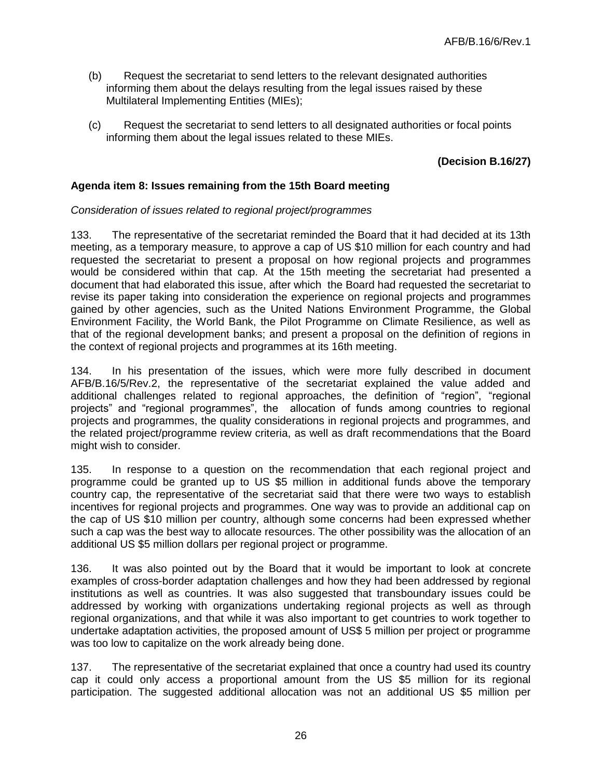- (b) Request the secretariat to send letters to the relevant designated authorities informing them about the delays resulting from the legal issues raised by these Multilateral Implementing Entities (MIEs);
- (c) Request the secretariat to send letters to all designated authorities or focal points informing them about the legal issues related to these MIEs.

## **(Decision B.16/27)**

## **Agenda item 8: Issues remaining from the 15th Board meeting**

#### *Consideration of issues related to regional project/programmes*

133. The representative of the secretariat reminded the Board that it had decided at its 13th meeting, as a temporary measure, to approve a cap of US \$10 million for each country and had requested the secretariat to present a proposal on how regional projects and programmes would be considered within that cap. At the 15th meeting the secretariat had presented a document that had elaborated this issue, after which the Board had requested the secretariat to revise its paper taking into consideration the experience on regional projects and programmes gained by other agencies, such as the United Nations Environment Programme, the Global Environment Facility, the World Bank, the Pilot Programme on Climate Resilience, as well as that of the regional development banks; and present a proposal on the definition of regions in the context of regional projects and programmes at its 16th meeting.

134. In his presentation of the issues, which were more fully described in document AFB/B.16/5/Rev.2, the representative of the secretariat explained the value added and additional challenges related to regional approaches, the definition of "region", "regional projects" and "regional programmes", the allocation of funds among countries to regional projects and programmes, the quality considerations in regional projects and programmes, and the related project/programme review criteria, as well as draft recommendations that the Board might wish to consider.

135. In response to a question on the recommendation that each regional project and programme could be granted up to US \$5 million in additional funds above the temporary country cap, the representative of the secretariat said that there were two ways to establish incentives for regional projects and programmes. One way was to provide an additional cap on the cap of US \$10 million per country, although some concerns had been expressed whether such a cap was the best way to allocate resources. The other possibility was the allocation of an additional US \$5 million dollars per regional project or programme.

136. It was also pointed out by the Board that it would be important to look at concrete examples of cross-border adaptation challenges and how they had been addressed by regional institutions as well as countries. It was also suggested that transboundary issues could be addressed by working with organizations undertaking regional projects as well as through regional organizations, and that while it was also important to get countries to work together to undertake adaptation activities, the proposed amount of US\$ 5 million per project or programme was too low to capitalize on the work already being done.

137. The representative of the secretariat explained that once a country had used its country cap it could only access a proportional amount from the US \$5 million for its regional participation. The suggested additional allocation was not an additional US \$5 million per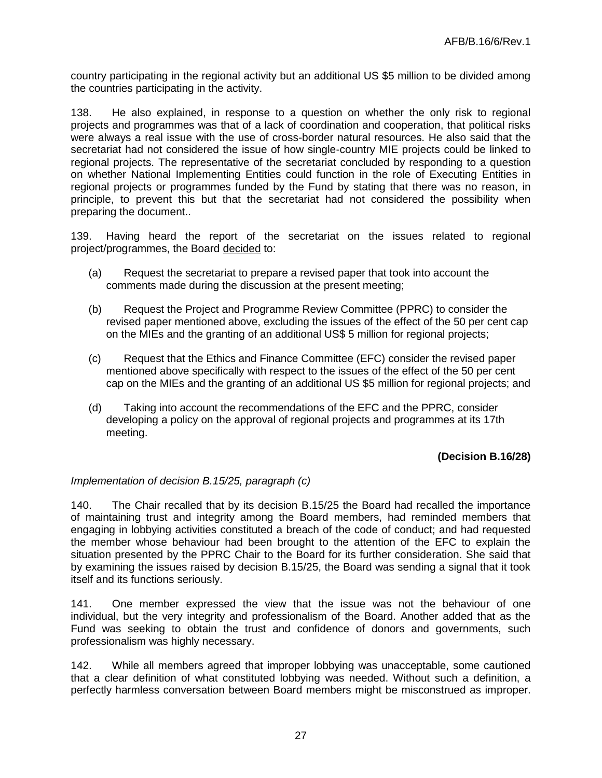country participating in the regional activity but an additional US \$5 million to be divided among the countries participating in the activity.

138. He also explained, in response to a question on whether the only risk to regional projects and programmes was that of a lack of coordination and cooperation, that political risks were always a real issue with the use of cross-border natural resources. He also said that the secretariat had not considered the issue of how single-country MIE projects could be linked to regional projects. The representative of the secretariat concluded by responding to a question on whether National Implementing Entities could function in the role of Executing Entities in regional projects or programmes funded by the Fund by stating that there was no reason, in principle, to prevent this but that the secretariat had not considered the possibility when preparing the document..

139. Having heard the report of the secretariat on the issues related to regional project/programmes, the Board decided to:

- (a) Request the secretariat to prepare a revised paper that took into account the comments made during the discussion at the present meeting;
- (b) Request the Project and Programme Review Committee (PPRC) to consider the revised paper mentioned above, excluding the issues of the effect of the 50 per cent cap on the MIEs and the granting of an additional US\$ 5 million for regional projects;
- (c) Request that the Ethics and Finance Committee (EFC) consider the revised paper mentioned above specifically with respect to the issues of the effect of the 50 per cent cap on the MIEs and the granting of an additional US \$5 million for regional projects; and
- (d) Taking into account the recommendations of the EFC and the PPRC, consider developing a policy on the approval of regional projects and programmes at its 17th meeting.

### **(Decision B.16/28)**

### *Implementation of decision B.15/25, paragraph (c)*

140. The Chair recalled that by its decision B.15/25 the Board had recalled the importance of maintaining trust and integrity among the Board members, had reminded members that engaging in lobbying activities constituted a breach of the code of conduct; and had requested the member whose behaviour had been brought to the attention of the EFC to explain the situation presented by the PPRC Chair to the Board for its further consideration. She said that by examining the issues raised by decision B.15/25, the Board was sending a signal that it took itself and its functions seriously.

141. One member expressed the view that the issue was not the behaviour of one individual, but the very integrity and professionalism of the Board. Another added that as the Fund was seeking to obtain the trust and confidence of donors and governments, such professionalism was highly necessary.

142. While all members agreed that improper lobbying was unacceptable, some cautioned that a clear definition of what constituted lobbying was needed. Without such a definition, a perfectly harmless conversation between Board members might be misconstrued as improper.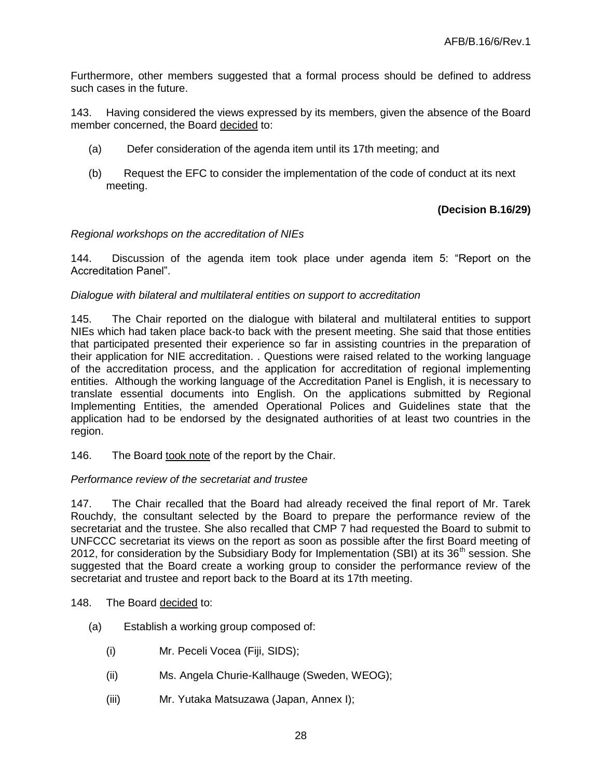Furthermore, other members suggested that a formal process should be defined to address such cases in the future.

143. Having considered the views expressed by its members, given the absence of the Board member concerned, the Board decided to:

- (a) Defer consideration of the agenda item until its 17th meeting; and
- (b) Request the EFC to consider the implementation of the code of conduct at its next meeting.

### **(Decision B.16/29)**

#### *Regional workshops on the accreditation of NIEs*

144. Discussion of the agenda item took place under agenda item 5: "Report on the Accreditation Panel".

#### *Dialogue with bilateral and multilateral entities on support to accreditation*

145. The Chair reported on the dialogue with bilateral and multilateral entities to support NIEs which had taken place back-to back with the present meeting. She said that those entities that participated presented their experience so far in assisting countries in the preparation of their application for NIE accreditation. . Questions were raised related to the working language of the accreditation process, and the application for accreditation of regional implementing entities. Although the working language of the Accreditation Panel is English, it is necessary to translate essential documents into English. On the applications submitted by Regional Implementing Entities, the amended Operational Polices and Guidelines state that the application had to be endorsed by the designated authorities of at least two countries in the region.

146. The Board took note of the report by the Chair.

#### *Performance review of the secretariat and trustee*

147. The Chair recalled that the Board had already received the final report of Mr. Tarek Rouchdy, the consultant selected by the Board to prepare the performance review of the secretariat and the trustee. She also recalled that CMP 7 had requested the Board to submit to UNFCCC secretariat its views on the report as soon as possible after the first Board meeting of 2012, for consideration by the Subsidiary Body for Implementation (SBI) at its  $36<sup>th</sup>$  session. She suggested that the Board create a working group to consider the performance review of the secretariat and trustee and report back to the Board at its 17th meeting.

#### 148. The Board decided to:

- (a) Establish a working group composed of:
	- (i) Mr. Peceli Vocea (Fiji, SIDS);
	- (ii) Ms. Angela Churie-Kallhauge (Sweden, WEOG);
	- (iii) Mr. Yutaka Matsuzawa (Japan, Annex I);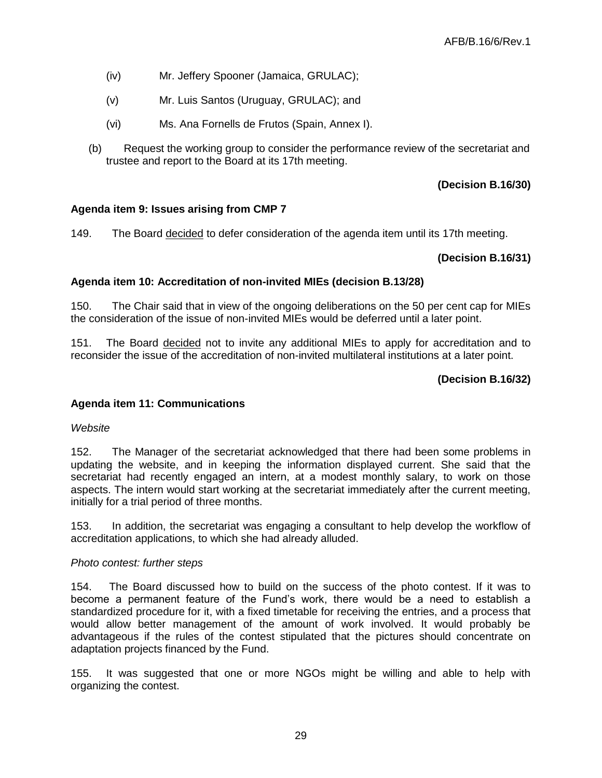- (iv) Mr. Jeffery Spooner (Jamaica, GRULAC);
- (v) Mr. Luis Santos (Uruguay, GRULAC); and
- (vi) Ms. Ana Fornells de Frutos (Spain, Annex I).
- (b) Request the working group to consider the performance review of the secretariat and trustee and report to the Board at its 17th meeting.

## **(Decision B.16/30)**

## **Agenda item 9: Issues arising from CMP 7**

149. The Board decided to defer consideration of the agenda item until its 17th meeting.

## **(Decision B.16/31)**

## **Agenda item 10: Accreditation of non-invited MIEs (decision B.13/28)**

150. The Chair said that in view of the ongoing deliberations on the 50 per cent cap for MIEs the consideration of the issue of non-invited MIEs would be deferred until a later point.

151. The Board decided not to invite any additional MIEs to apply for accreditation and to reconsider the issue of the accreditation of non-invited multilateral institutions at a later point.

## **(Decision B.16/32)**

### **Agenda item 11: Communications**

### *Website*

152. The Manager of the secretariat acknowledged that there had been some problems in updating the website, and in keeping the information displayed current. She said that the secretariat had recently engaged an intern, at a modest monthly salary, to work on those aspects. The intern would start working at the secretariat immediately after the current meeting, initially for a trial period of three months.

153. In addition, the secretariat was engaging a consultant to help develop the workflow of accreditation applications, to which she had already alluded.

### *Photo contest: further steps*

154. The Board discussed how to build on the success of the photo contest. If it was to become a permanent feature of the Fund's work, there would be a need to establish a standardized procedure for it, with a fixed timetable for receiving the entries, and a process that would allow better management of the amount of work involved. It would probably be advantageous if the rules of the contest stipulated that the pictures should concentrate on adaptation projects financed by the Fund.

155. It was suggested that one or more NGOs might be willing and able to help with organizing the contest.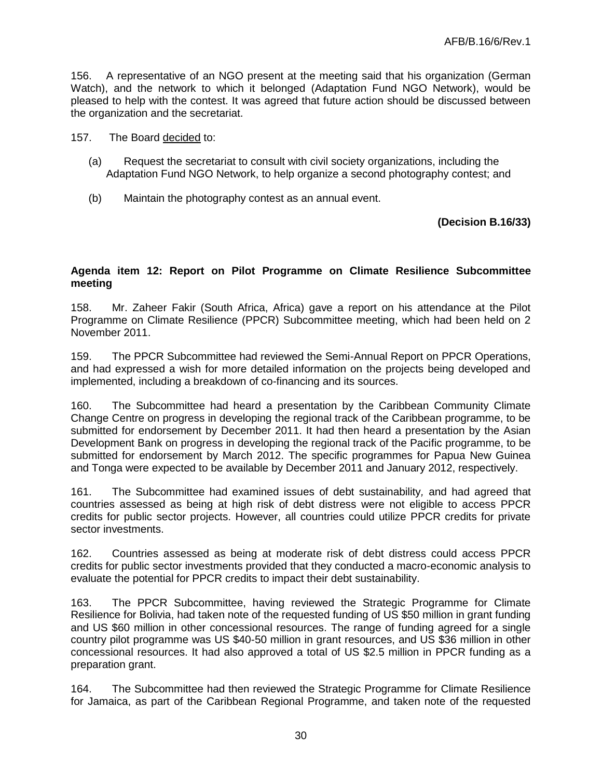156. A representative of an NGO present at the meeting said that his organization (German Watch), and the network to which it belonged (Adaptation Fund NGO Network), would be pleased to help with the contest. It was agreed that future action should be discussed between the organization and the secretariat.

- 157. The Board decided to:
	- (a) Request the secretariat to consult with civil society organizations, including the Adaptation Fund NGO Network, to help organize a second photography contest; and
	- (b) Maintain the photography contest as an annual event.

### **(Decision B.16/33)**

### **Agenda item 12: Report on Pilot Programme on Climate Resilience Subcommittee meeting**

158. Mr. Zaheer Fakir (South Africa, Africa) gave a report on his attendance at the Pilot Programme on Climate Resilience (PPCR) Subcommittee meeting, which had been held on 2 November 2011.

159. The PPCR Subcommittee had reviewed the Semi-Annual Report on PPCR Operations, and had expressed a wish for more detailed information on the projects being developed and implemented, including a breakdown of co-financing and its sources.

160. The Subcommittee had heard a presentation by the Caribbean Community Climate Change Centre on progress in developing the regional track of the Caribbean programme, to be submitted for endorsement by December 2011. It had then heard a presentation by the Asian Development Bank on progress in developing the regional track of the Pacific programme, to be submitted for endorsement by March 2012. The specific programmes for Papua New Guinea and Tonga were expected to be available by December 2011 and January 2012, respectively.

161. The Subcommittee had examined issues of debt sustainability*,* and had agreed that countries assessed as being at high risk of debt distress were not eligible to access PPCR credits for public sector projects. However, all countries could utilize PPCR credits for private sector investments.

162. Countries assessed as being at moderate risk of debt distress could access PPCR credits for public sector investments provided that they conducted a macro-economic analysis to evaluate the potential for PPCR credits to impact their debt sustainability.

163. The PPCR Subcommittee, having reviewed the Strategic Programme for Climate Resilience for Bolivia, had taken note of the requested funding of US \$50 million in grant funding and US \$60 million in other concessional resources. The range of funding agreed for a single country pilot programme was US \$40-50 million in grant resources, and US \$36 million in other concessional resources. It had also approved a total of US \$2.5 million in PPCR funding as a preparation grant.

164. The Subcommittee had then reviewed the Strategic Programme for Climate Resilience for Jamaica, as part of the Caribbean Regional Programme, and taken note of the requested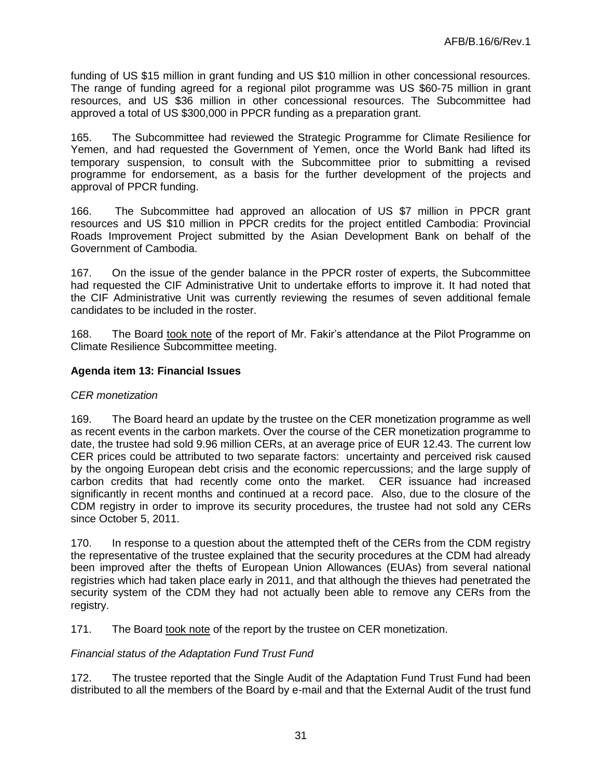funding of US \$15 million in grant funding and US \$10 million in other concessional resources. The range of funding agreed for a regional pilot programme was US \$60-75 million in grant resources, and US \$36 million in other concessional resources. The Subcommittee had approved a total of US \$300,000 in PPCR funding as a preparation grant.

165. The Subcommittee had reviewed the Strategic Programme for Climate Resilience for Yemen, and had requested the Government of Yemen, once the World Bank had lifted its temporary suspension, to consult with the Subcommittee prior to submitting a revised programme for endorsement, as a basis for the further development of the projects and approval of PPCR funding.

166. The Subcommittee had approved an allocation of US \$7 million in PPCR grant resources and US \$10 million in PPCR credits for the project entitled Cambodia: Provincial Roads Improvement Project submitted by the Asian Development Bank on behalf of the Government of Cambodia.

167. On the issue of the gender balance in the PPCR roster of experts, the Subcommittee had requested the CIF Administrative Unit to undertake efforts to improve it. It had noted that the CIF Administrative Unit was currently reviewing the resumes of seven additional female candidates to be included in the roster.

168. The Board took note of the report of Mr. Fakir's attendance at the Pilot Programme on Climate Resilience Subcommittee meeting.

## **Agenda item 13: Financial Issues**

### *CER monetization*

169. The Board heard an update by the trustee on the CER monetization programme as well as recent events in the carbon markets. Over the course of the CER monetization programme to date, the trustee had sold 9.96 million CERs, at an average price of EUR 12.43. The current low CER prices could be attributed to two separate factors: uncertainty and perceived risk caused by the ongoing European debt crisis and the economic repercussions; and the large supply of carbon credits that had recently come onto the market. CER issuance had increased significantly in recent months and continued at a record pace. Also, due to the closure of the CDM registry in order to improve its security procedures, the trustee had not sold any CERs since October 5, 2011.

170. In response to a question about the attempted theft of the CERs from the CDM registry the representative of the trustee explained that the security procedures at the CDM had already been improved after the thefts of European Union Allowances (EUAs) from several national registries which had taken place early in 2011, and that although the thieves had penetrated the security system of the CDM they had not actually been able to remove any CERs from the registry.

171. The Board took note of the report by the trustee on CER monetization.

### *Financial status of the Adaptation Fund Trust Fund*

172. The trustee reported that the Single Audit of the Adaptation Fund Trust Fund had been distributed to all the members of the Board by e-mail and that the External Audit of the trust fund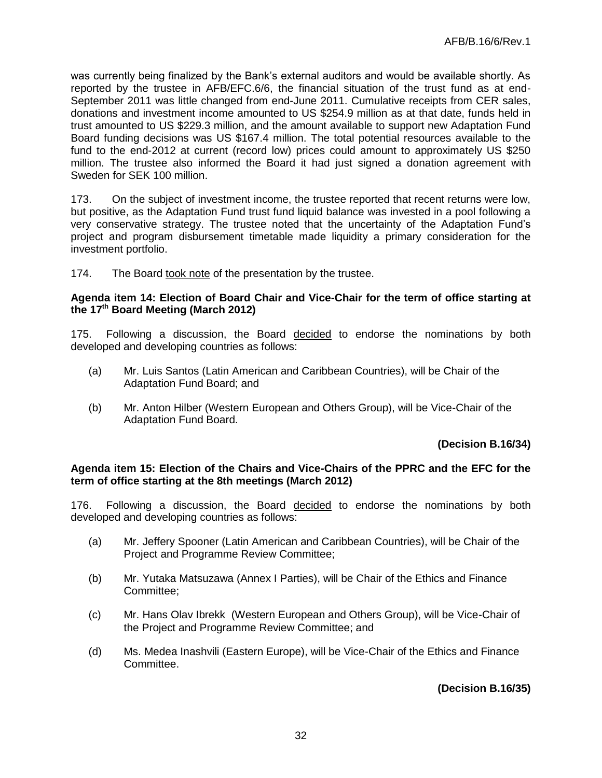was currently being finalized by the Bank's external auditors and would be available shortly. As reported by the trustee in AFB/EFC.6/6, the financial situation of the trust fund as at end-September 2011 was little changed from end-June 2011. Cumulative receipts from CER sales, donations and investment income amounted to US \$254.9 million as at that date, funds held in trust amounted to US \$229.3 million, and the amount available to support new Adaptation Fund Board funding decisions was US \$167.4 million. The total potential resources available to the fund to the end-2012 at current (record low) prices could amount to approximately US \$250 million. The trustee also informed the Board it had just signed a donation agreement with Sweden for SEK 100 million.

173. On the subject of investment income, the trustee reported that recent returns were low, but positive, as the Adaptation Fund trust fund liquid balance was invested in a pool following a very conservative strategy. The trustee noted that the uncertainty of the Adaptation Fund's project and program disbursement timetable made liquidity a primary consideration for the investment portfolio.

174. The Board took note of the presentation by the trustee.

#### **Agenda item 14: Election of Board Chair and Vice-Chair for the term of office starting at the 17th Board Meeting (March 2012)**

175. Following a discussion, the Board decided to endorse the nominations by both developed and developing countries as follows:

- (a) Mr. Luis Santos (Latin American and Caribbean Countries), will be Chair of the Adaptation Fund Board; and
- (b) Mr. Anton Hilber (Western European and Others Group), will be Vice-Chair of the Adaptation Fund Board.

### **(Decision B.16/34)**

#### **Agenda item 15: Election of the Chairs and Vice-Chairs of the PPRC and the EFC for the term of office starting at the 8th meetings (March 2012)**

176. Following a discussion, the Board decided to endorse the nominations by both developed and developing countries as follows:

- (a) Mr. Jeffery Spooner (Latin American and Caribbean Countries), will be Chair of the Project and Programme Review Committee;
- (b) Mr. Yutaka Matsuzawa (Annex I Parties), will be Chair of the Ethics and Finance Committee;
- (c) Mr. Hans Olav Ibrekk (Western European and Others Group), will be Vice-Chair of the Project and Programme Review Committee; and
- (d) Ms. Medea Inashvili (Eastern Europe), will be Vice-Chair of the Ethics and Finance Committee.

**(Decision B.16/35)**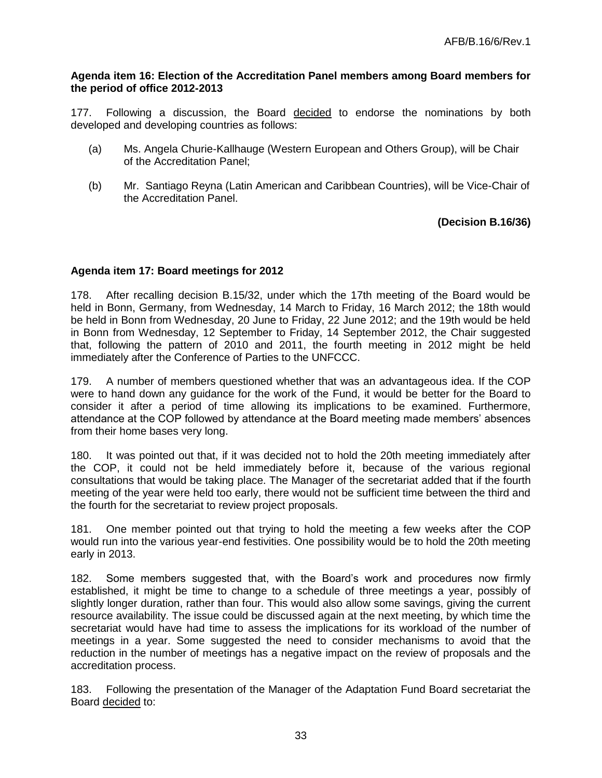#### **Agenda item 16: Election of the Accreditation Panel members among Board members for the period of office 2012-2013**

177. Following a discussion, the Board decided to endorse the nominations by both developed and developing countries as follows:

- (a) Ms. Angela Churie-Kallhauge (Western European and Others Group), will be Chair of the Accreditation Panel;
- (b) Mr. Santiago Reyna (Latin American and Caribbean Countries), will be Vice-Chair of the Accreditation Panel.

## **(Decision B.16/36)**

## **Agenda item 17: Board meetings for 2012**

178. After recalling decision B.15/32, under which the 17th meeting of the Board would be held in Bonn, Germany, from Wednesday, 14 March to Friday, 16 March 2012; the 18th would be held in Bonn from Wednesday, 20 June to Friday, 22 June 2012; and the 19th would be held in Bonn from Wednesday, 12 September to Friday, 14 September 2012, the Chair suggested that, following the pattern of 2010 and 2011, the fourth meeting in 2012 might be held immediately after the Conference of Parties to the UNFCCC.

179. A number of members questioned whether that was an advantageous idea. If the COP were to hand down any guidance for the work of the Fund, it would be better for the Board to consider it after a period of time allowing its implications to be examined. Furthermore, attendance at the COP followed by attendance at the Board meeting made members' absences from their home bases very long.

180. It was pointed out that, if it was decided not to hold the 20th meeting immediately after the COP, it could not be held immediately before it, because of the various regional consultations that would be taking place. The Manager of the secretariat added that if the fourth meeting of the year were held too early, there would not be sufficient time between the third and the fourth for the secretariat to review project proposals.

181. One member pointed out that trying to hold the meeting a few weeks after the COP would run into the various year-end festivities. One possibility would be to hold the 20th meeting early in 2013.

182. Some members suggested that, with the Board's work and procedures now firmly established, it might be time to change to a schedule of three meetings a year, possibly of slightly longer duration, rather than four. This would also allow some savings, giving the current resource availability. The issue could be discussed again at the next meeting, by which time the secretariat would have had time to assess the implications for its workload of the number of meetings in a year. Some suggested the need to consider mechanisms to avoid that the reduction in the number of meetings has a negative impact on the review of proposals and the accreditation process.

183. Following the presentation of the Manager of the Adaptation Fund Board secretariat the Board decided to: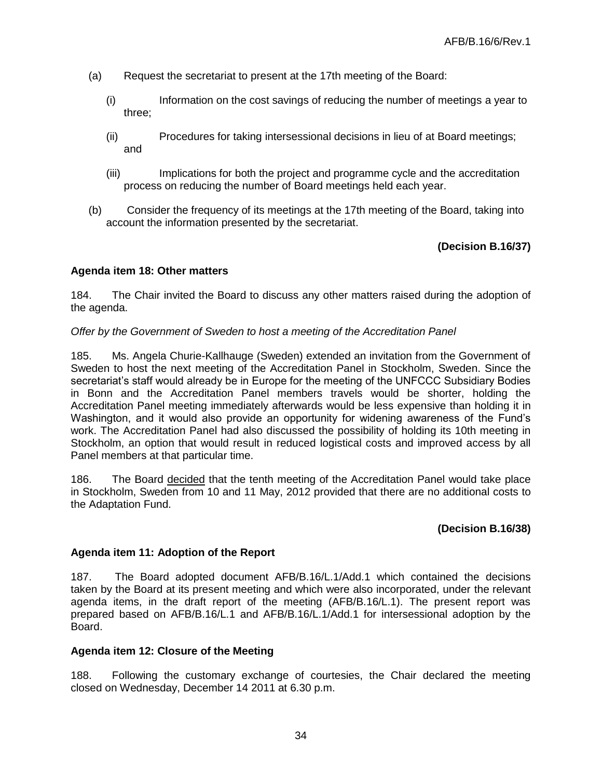- (a) Request the secretariat to present at the 17th meeting of the Board:
	- (i) Information on the cost savings of reducing the number of meetings a year to three;
	- (ii) Procedures for taking intersessional decisions in lieu of at Board meetings; and
	- (iii) Implications for both the project and programme cycle and the accreditation process on reducing the number of Board meetings held each year.
- (b) Consider the frequency of its meetings at the 17th meeting of the Board, taking into account the information presented by the secretariat.

## **(Decision B.16/37)**

### **Agenda item 18: Other matters**

184. The Chair invited the Board to discuss any other matters raised during the adoption of the agenda.

#### *Offer by the Government of Sweden to host a meeting of the Accreditation Panel*

185. Ms. Angela Churie-Kallhauge (Sweden) extended an invitation from the Government of Sweden to host the next meeting of the Accreditation Panel in Stockholm, Sweden. Since the secretariat's staff would already be in Europe for the meeting of the UNFCCC Subsidiary Bodies in Bonn and the Accreditation Panel members travels would be shorter, holding the Accreditation Panel meeting immediately afterwards would be less expensive than holding it in Washington, and it would also provide an opportunity for widening awareness of the Fund's work. The Accreditation Panel had also discussed the possibility of holding its 10th meeting in Stockholm, an option that would result in reduced logistical costs and improved access by all Panel members at that particular time.

186. The Board decided that the tenth meeting of the Accreditation Panel would take place in Stockholm, Sweden from 10 and 11 May, 2012 provided that there are no additional costs to the Adaptation Fund.

#### **(Decision B.16/38)**

#### **Agenda item 11: Adoption of the Report**

187. The Board adopted document AFB/B.16/L.1/Add.1 which contained the decisions taken by the Board at its present meeting and which were also incorporated, under the relevant agenda items, in the draft report of the meeting (AFB/B.16/L.1). The present report was prepared based on AFB/B.16/L.1 and AFB/B.16/L.1/Add.1 for intersessional adoption by the Board.

#### **Agenda item 12: Closure of the Meeting**

188. Following the customary exchange of courtesies, the Chair declared the meeting closed on Wednesday, December 14 2011 at 6.30 p.m.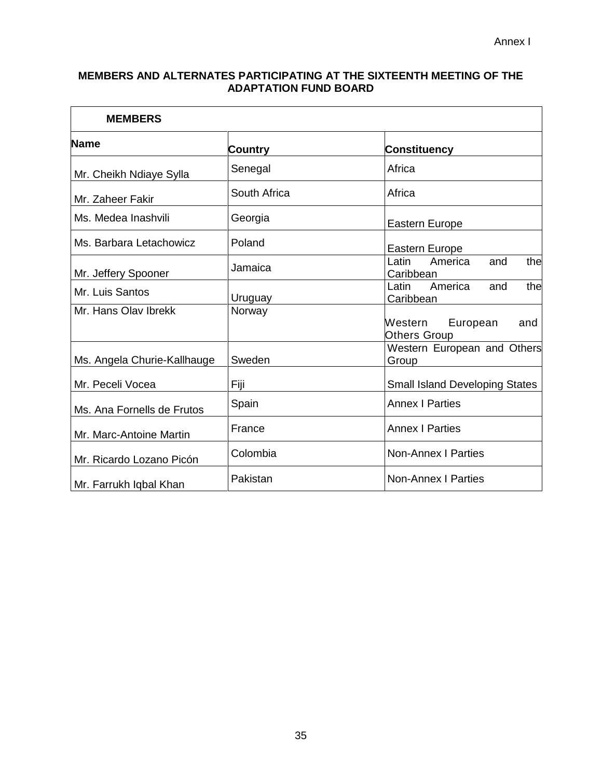## **MEMBERS AND ALTERNATES PARTICIPATING AT THE SIXTEENTH MEETING OF THE ADAPTATION FUND BOARD**

| <b>MEMBERS</b>              |                |                                                |  |  |  |
|-----------------------------|----------------|------------------------------------------------|--|--|--|
| <b>Name</b>                 | <b>Country</b> | <b>Constituency</b>                            |  |  |  |
| Mr. Cheikh Ndiaye Sylla     | Senegal        | Africa                                         |  |  |  |
| Mr. Zaheer Fakir            | South Africa   | Africa                                         |  |  |  |
| Ms. Medea Inashvili         | Georgia        | Eastern Europe                                 |  |  |  |
| Ms. Barbara Letachowicz     | Poland         | Eastern Europe                                 |  |  |  |
| Mr. Jeffery Spooner         | Jamaica        | Latin<br>America<br>the<br>and<br>Caribbean    |  |  |  |
| Mr. Luis Santos             | Uruguay        | America<br>and<br>the<br>Latin<br>Caribbean    |  |  |  |
| Mr. Hans Olav Ibrekk        | Norway         | Western European<br>and<br><b>Others Group</b> |  |  |  |
| Ms. Angela Churie-Kallhauge | Sweden         | Western European and Others<br>Group           |  |  |  |
| Mr. Peceli Vocea            | Fiji           | <b>Small Island Developing States</b>          |  |  |  |
| Ms. Ana Fornells de Frutos  | Spain          | <b>Annex I Parties</b>                         |  |  |  |
| Mr. Marc-Antoine Martin     | France         | <b>Annex I Parties</b>                         |  |  |  |
| Mr. Ricardo Lozano Picón    | Colombia       | <b>Non-Annex I Parties</b>                     |  |  |  |
| Mr. Farrukh Iqbal Khan      | Pakistan       | <b>Non-Annex I Parties</b>                     |  |  |  |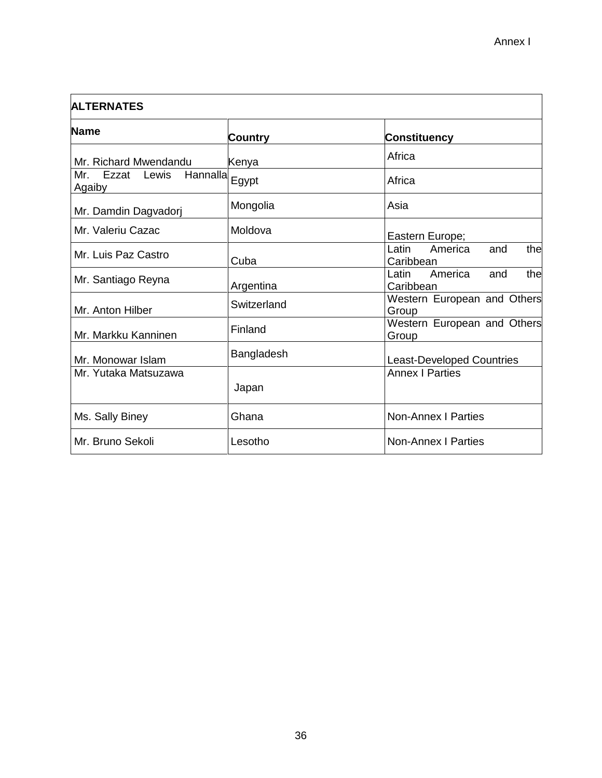| <b>ALTERNATES</b>                           |                |                                              |  |  |  |  |
|---------------------------------------------|----------------|----------------------------------------------|--|--|--|--|
| <b>Name</b>                                 | <b>Country</b> | <b>Constituency</b>                          |  |  |  |  |
| Mr. Richard Mwendandu                       | Kenya          | Africa                                       |  |  |  |  |
| Hannalla<br>Mr.<br>Ezzat<br>Lewis<br>Agaiby | Egypt          | Africa                                       |  |  |  |  |
| Mr. Damdin Dagvadorj                        | Mongolia       | Asia                                         |  |  |  |  |
| Mr. Valeriu Cazac                           | Moldova        | Eastern Europe;                              |  |  |  |  |
| Mr. Luis Paz Castro                         | Cuba           | America<br>Latin<br>and<br>thel<br>Caribbean |  |  |  |  |
| Mr. Santiago Reyna                          | Argentina      | America<br>Latin<br>thel<br>and<br>Caribbean |  |  |  |  |
| Mr. Anton Hilber                            | Switzerland    | Western European and Others<br>Group         |  |  |  |  |
| Mr. Markku Kanninen                         | Finland        | Western European and Others<br>Group         |  |  |  |  |
| Mr. Monowar Islam                           | Bangladesh     | <b>Least-Developed Countries</b>             |  |  |  |  |
| Mr. Yutaka Matsuzawa                        | Japan          | <b>Annex I Parties</b>                       |  |  |  |  |
| Ms. Sally Biney                             | Ghana          | <b>Non-Annex I Parties</b>                   |  |  |  |  |
| Mr. Bruno Sekoli                            | Lesotho        | <b>Non-Annex I Parties</b>                   |  |  |  |  |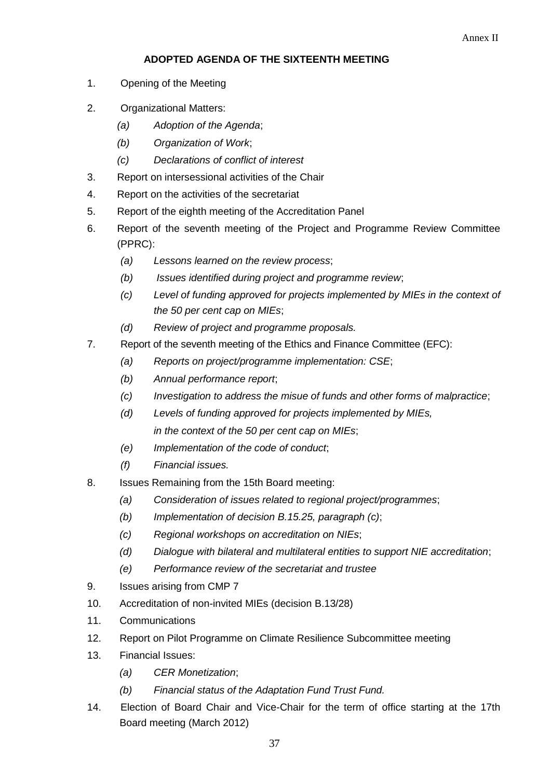# **ADOPTED AGENDA OF THE SIXTEENTH MEETING**

- 1. Opening of the Meeting
- 2. Organizational Matters:
	- *(a) Adoption of the Agenda*;
	- *(b) Organization of Work*;
	- *(c) Declarations of conflict of interest*
- 3. Report on intersessional activities of the Chair
- 4. Report on the activities of the secretariat
- 5. Report of the eighth meeting of the Accreditation Panel
- 6. Report of the seventh meeting of the Project and Programme Review Committee (PPRC):
	- *(a) Lessons learned on the review process*;
	- *(b) Issues identified during project and programme review*;
	- *(c) Level of funding approved for projects implemented by MIEs in the context of the 50 per cent cap on MIEs*;
	- *(d) Review of project and programme proposals.*
- 7. Report of the seventh meeting of the Ethics and Finance Committee (EFC):
	- *(a) Reports on project/programme implementation: CSE*;
	- *(b) Annual performance report*;
	- *(c) Investigation to address the misue of funds and other forms of malpractice*;
	- *(d) Levels of funding approved for projects implemented by MIEs, in the context of the 50 per cent cap on MIEs*;
	- *(e) Implementation of the code of conduct*;
	- *(f) Financial issues.*
- 8. Issues Remaining from the 15th Board meeting:
	- *(a) Consideration of issues related to regional project/programmes*;
	- *(b) Implementation of decision B.15.25, paragraph (c)*;
	- *(c) Regional workshops on accreditation on NIEs*;
	- *(d) Dialogue with bilateral and multilateral entities to support NIE accreditation*;
	- *(e) Performance review of the secretariat and trustee*
- 9. Issues arising from CMP 7
- 10. Accreditation of non-invited MIEs (decision B.13/28)
- 11. Communications
- 12. Report on Pilot Programme on Climate Resilience Subcommittee meeting
- 13. Financial Issues:
	- *(a) CER Monetization*;
	- *(b) Financial status of the Adaptation Fund Trust Fund.*
- 14. Election of Board Chair and Vice-Chair for the term of office starting at the 17th Board meeting (March 2012)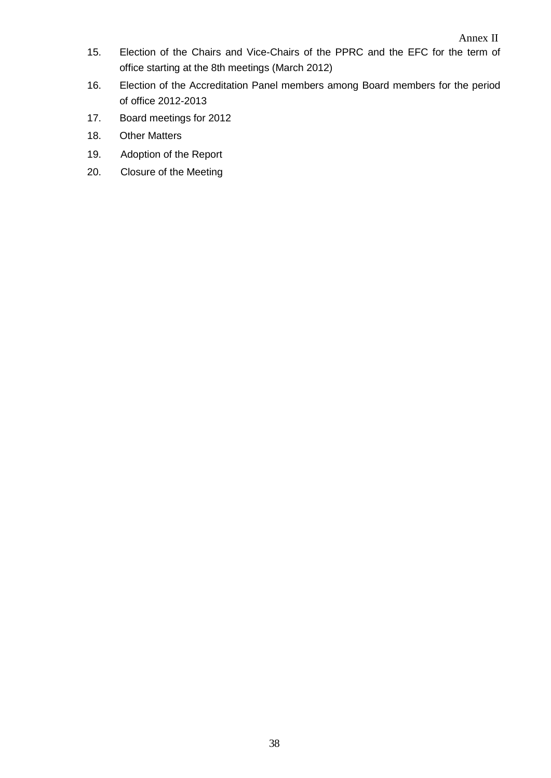- 15. Election of the Chairs and Vice-Chairs of the PPRC and the EFC for the term of office starting at the 8th meetings (March 2012)
- 16. Election of the Accreditation Panel members among Board members for the period of office 2012-2013
- 17. Board meetings for 2012
- 18. Other Matters
- 19. Adoption of the Report
- 20. Closure of the Meeting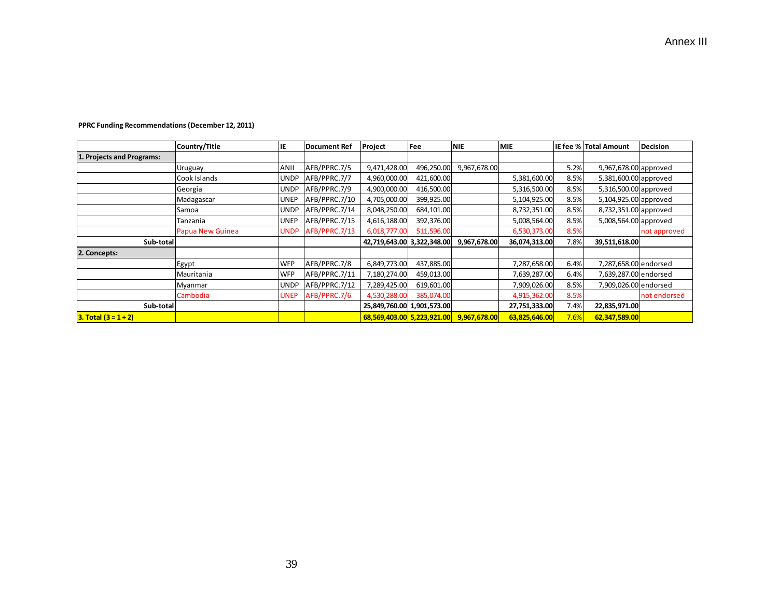|                           | Country/Title    | IE          | Document Ref  | Project                    | Fee        | <b>NIE</b>   | <b>MIE</b>    |      | IE fee % Total Amount | <b>Decision</b> |
|---------------------------|------------------|-------------|---------------|----------------------------|------------|--------------|---------------|------|-----------------------|-----------------|
| 1. Projects and Programs: |                  |             |               |                            |            |              |               |      |                       |                 |
|                           | Uruguay          | ANII        | AFB/PPRC.7/5  | 9,471,428.00               | 496,250.00 | 9,967,678.00 |               | 5.2% | 9,967,678.00 approved |                 |
|                           | Cook Islands     | <b>UNDP</b> | AFB/PPRC.7/7  | 4,960,000.00               | 421,600.00 |              | 5,381,600.00  | 8.5% | 5,381,600.00 approved |                 |
|                           | Georgia          | <b>UNDP</b> | AFB/PPRC.7/9  | 4,900,000.00               | 416,500.00 |              | 5,316,500.00  | 8.5% | 5,316,500.00 approved |                 |
|                           | Madagascar       | <b>UNEP</b> | AFB/PPRC.7/10 | 4,705,000.00               | 399,925.00 |              | 5,104,925.00  | 8.5% | 5,104,925.00 approved |                 |
|                           | Samoa            | <b>UNDP</b> | AFB/PPRC.7/14 | 8,048,250.00               | 684,101.00 |              | 8,732,351.00  | 8.5% | 8,732,351.00 approved |                 |
|                           | Tanzania         | <b>UNEP</b> | AFB/PPRC.7/15 | 4,616,188.00               | 392,376.00 |              | 5,008,564.00  | 8.5% | 5,008,564.00 approved |                 |
|                           | Papua New Guinea | <b>UNDP</b> | AFB/PPRC.7/13 | 6,018,777.00               | 511,596.00 |              | 6,530,373.00  | 8.5% |                       | not approved    |
| Sub-total                 |                  |             |               | 42,719,643.00 3,322,348.00 |            | 9,967,678.00 | 36,074,313.00 | 7.8% | 39,511,618.00         |                 |
| 2. Concepts:              |                  |             |               |                            |            |              |               |      |                       |                 |
|                           | Egypt            | <b>WFP</b>  | AFB/PPRC.7/8  | 6,849,773.00               | 437,885.00 |              | 7,287,658.00  | 6.4% | 7,287,658.00 endorsed |                 |
|                           | Mauritania       | <b>WFP</b>  | AFB/PPRC.7/11 | 7,180,274.00               | 459,013.00 |              | 7,639,287.00  | 6.4% | 7,639,287.00 endorsed |                 |
|                           | Myanmar          | <b>UNDP</b> | AFB/PPRC.7/12 | 7,289,425.00               | 619,601.00 |              | 7,909,026.00  | 8.5% | 7,909,026.00 endorsed |                 |
|                           | Cambodia         | <b>UNEP</b> | AFB/PPRC.7/6  | 4,530,288.00               | 385,074.00 |              | 4,915,362.00  | 8.5% |                       | not endorsed    |
| Sub-total                 |                  |             |               | 25,849,760.00 1,901,573.00 |            |              | 27,751,333.00 | 7.4% | 22,835,971.00         |                 |
| $3. Total (3 = 1 + 2)$    |                  |             |               | 68,569,403.00 5,223,921.00 |            | 9,967,678.00 | 63,825,646.00 | 7.6% | 62,347,589.00         |                 |

#### **PPRC Funding Recommendations (December 12, 2011)**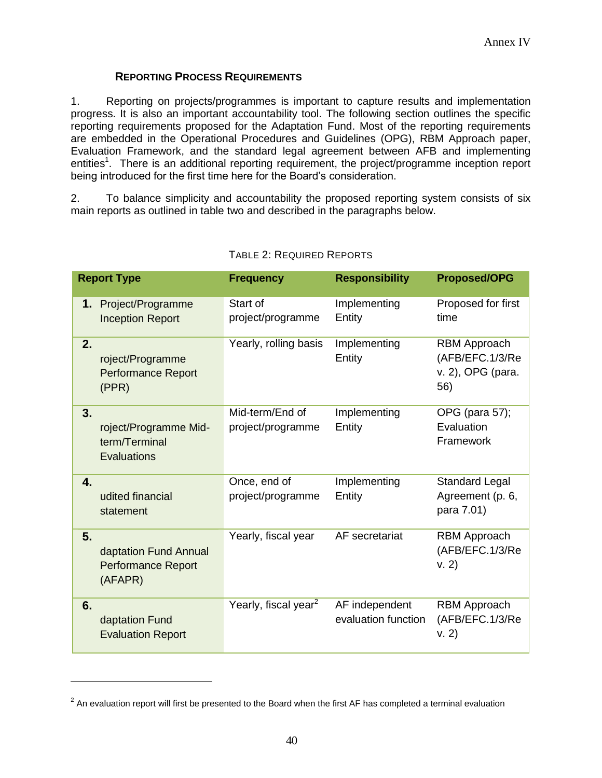## **REPORTING PROCESS REQUIREMENTS**

1. Reporting on projects/programmes is important to capture results and implementation progress. It is also an important accountability tool. The following section outlines the specific reporting requirements proposed for the Adaptation Fund. Most of the reporting requirements are embedded in the Operational Procedures and Guidelines (OPG), RBM Approach paper, Evaluation Framework, and the standard legal agreement between AFB and implementing entities<sup>1</sup>. There is an additional reporting requirement, the project/programme inception report being introduced for the first time here for the Board's consideration.

2. To balance simplicity and accountability the proposed reporting system consists of six main reports as outlined in table two and described in the paragraphs below.

|                | <b>Report Type</b>                                            | <b>Frequency</b>                     | <b>Responsibility</b>                 | <b>Proposed/OPG</b>                                                |
|----------------|---------------------------------------------------------------|--------------------------------------|---------------------------------------|--------------------------------------------------------------------|
|                | 1. Project/Programme<br><b>Inception Report</b>               | Start of<br>project/programme        | Implementing<br>Entity                | Proposed for first<br>time                                         |
| 2.             | roject/Programme<br><b>Performance Report</b><br>(PPR)        | Yearly, rolling basis                | Implementing<br>Entity                | <b>RBM Approach</b><br>(AFB/EFC.1/3/Re<br>v. 2), OPG (para.<br>56) |
| 3.             | roject/Programme Mid-<br>term/Terminal<br>Evaluations         | Mid-term/End of<br>project/programme | Implementing<br>Entity                | OPG (para 57);<br>Evaluation<br>Framework                          |
| $\mathbf{4}$ . | udited financial<br>statement                                 | Once, end of<br>project/programme    | Implementing<br>Entity                | <b>Standard Legal</b><br>Agreement (p. 6,<br>para 7.01)            |
| 5.             | daptation Fund Annual<br><b>Performance Report</b><br>(AFAPR) | Yearly, fiscal year                  | AF secretariat                        | <b>RBM Approach</b><br>(AFB/EFC.1/3/Re<br>V. 2)                    |
| 6.             | daptation Fund<br><b>Evaluation Report</b>                    | Yearly, fiscal year <sup>2</sup>     | AF independent<br>evaluation function | <b>RBM</b> Approach<br>(AFB/EFC.1/3/Re<br>V. 2)                    |

## TABLE 2: REQUIRED REPORTS

 $\overline{a}$ 

 $2$  An evaluation report will first be presented to the Board when the first AF has completed a terminal evaluation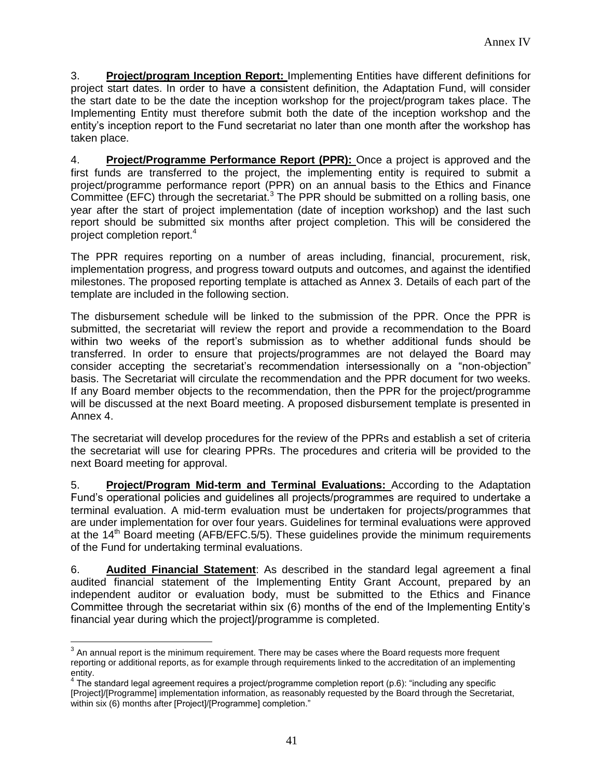3. **Project/program Inception Report:** Implementing Entities have different definitions for project start dates. In order to have a consistent definition, the Adaptation Fund, will consider the start date to be the date the inception workshop for the project/program takes place. The Implementing Entity must therefore submit both the date of the inception workshop and the entity's inception report to the Fund secretariat no later than one month after the workshop has taken place.

4. **Project/Programme Performance Report (PPR):** Once a project is approved and the first funds are transferred to the project, the implementing entity is required to submit a project/programme performance report (PPR) on an annual basis to the Ethics and Finance Committee (EFC) through the secretariat.<sup>3</sup> The PPR should be submitted on a rolling basis, one year after the start of project implementation (date of inception workshop) and the last such report should be submitted six months after project completion. This will be considered the project completion report.<sup>4</sup>

The PPR requires reporting on a number of areas including, financial, procurement, risk, implementation progress, and progress toward outputs and outcomes, and against the identified milestones. The proposed reporting template is attached as Annex 3. Details of each part of the template are included in the following section.

The disbursement schedule will be linked to the submission of the PPR. Once the PPR is submitted, the secretariat will review the report and provide a recommendation to the Board within two weeks of the report's submission as to whether additional funds should be transferred. In order to ensure that projects/programmes are not delayed the Board may consider accepting the secretariat's recommendation intersessionally on a "non-objection" basis. The Secretariat will circulate the recommendation and the PPR document for two weeks. If any Board member objects to the recommendation, then the PPR for the project/programme will be discussed at the next Board meeting. A proposed disbursement template is presented in Annex 4.

The secretariat will develop procedures for the review of the PPRs and establish a set of criteria the secretariat will use for clearing PPRs. The procedures and criteria will be provided to the next Board meeting for approval.

5. **Project/Program Mid-term and Terminal Evaluations:** According to the Adaptation Fund's operational policies and guidelines all projects/programmes are required to undertake a terminal evaluation. A mid-term evaluation must be undertaken for projects/programmes that are under implementation for over four years. Guidelines for terminal evaluations were approved at the  $14<sup>th</sup>$  Board meeting (AFB/EFC.5/5). These guidelines provide the minimum requirements of the Fund for undertaking terminal evaluations.

6. **Audited Financial Statement**: As described in the standard legal agreement a final audited financial statement of the Implementing Entity Grant Account, prepared by an independent auditor or evaluation body, must be submitted to the Ethics and Finance Committee through the secretariat within six (6) months of the end of the Implementing Entity's financial year during which the project]/programme is completed.

 $\overline{a}$  $3$  An annual report is the minimum requirement. There may be cases where the Board requests more frequent reporting or additional reports, as for example through requirements linked to the accreditation of an implementing

entity. 4 The standard legal agreement requires a project/programme completion report (p.6): "including any specific [Project]/[Programme] implementation information, as reasonably requested by the Board through the Secretariat, within six (6) months after [Project]/[Programme] completion."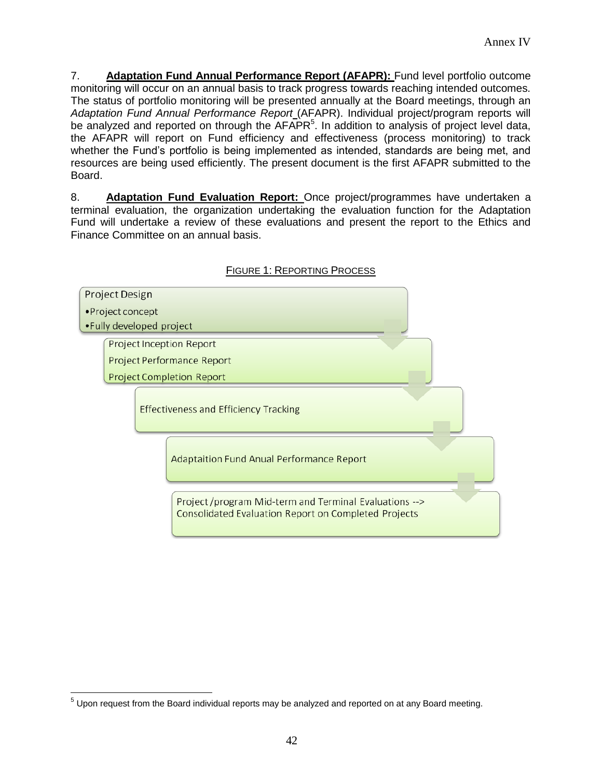7. **Adaptation Fund Annual Performance Report (AFAPR):** Fund level portfolio outcome monitoring will occur on an annual basis to track progress towards reaching intended outcomes. The status of portfolio monitoring will be presented annually at the Board meetings, through an *Adaptation Fund Annual Performance Report* (AFAPR). Individual project/program reports will be analyzed and reported on through the  $AFAPR<sup>5</sup>$ . In addition to analysis of project level data, the AFAPR will report on Fund efficiency and effectiveness (process monitoring) to track whether the Fund's portfolio is being implemented as intended, standards are being met, and resources are being used efficiently. The present document is the first AFAPR submitted to the Board.

8. **Adaptation Fund Evaluation Report:** Once project/programmes have undertaken a terminal evaluation, the organization undertaking the evaluation function for the Adaptation Fund will undertake a review of these evaluations and present the report to the Ethics and Finance Committee on an annual basis.



### FIGURE 1: REPORTING PROCESS

 $\overline{a}$  $<sup>5</sup>$  Upon request from the Board individual reports may be analyzed and reported on at any Board meeting.</sup>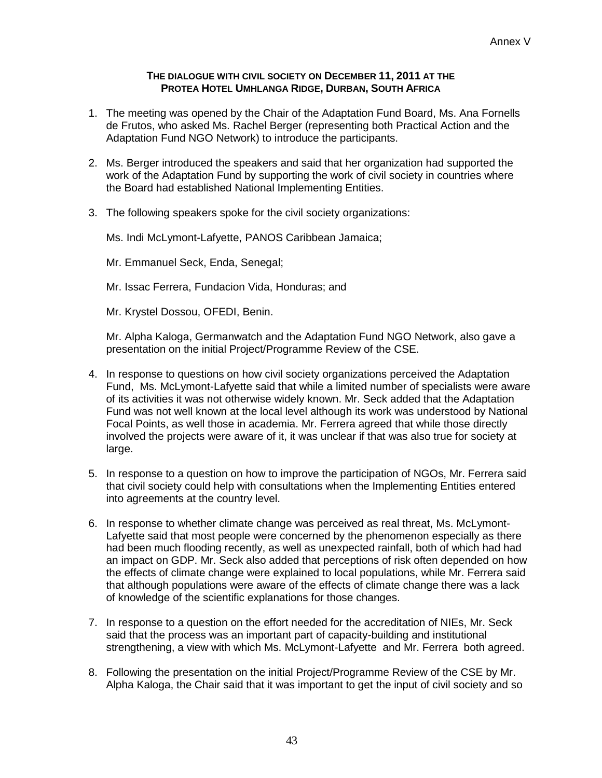#### **THE DIALOGUE WITH CIVIL SOCIETY ON DECEMBER 11, 2011 AT THE PROTEA HOTEL UMHLANGA RIDGE, DURBAN, SOUTH AFRICA**

- 1. The meeting was opened by the Chair of the Adaptation Fund Board, Ms. Ana Fornells de Frutos, who asked Ms. Rachel Berger (representing both Practical Action and the Adaptation Fund NGO Network) to introduce the participants.
- 2. Ms. Berger introduced the speakers and said that her organization had supported the work of the Adaptation Fund by supporting the work of civil society in countries where the Board had established National Implementing Entities.
- 3. The following speakers spoke for the civil society organizations:

Ms. Indi McLymont-Lafyette, PANOS Caribbean Jamaica;

Mr. Emmanuel Seck, Enda, Senegal;

Mr. Issac Ferrera, Fundacion Vida, Honduras; and

Mr. Krystel Dossou, OFEDI, Benin.

Mr. Alpha Kaloga, Germanwatch and the Adaptation Fund NGO Network, also gave a presentation on the initial Project/Programme Review of the CSE.

- 4. In response to questions on how civil society organizations perceived the Adaptation Fund, Ms. McLymont-Lafyette said that while a limited number of specialists were aware of its activities it was not otherwise widely known. Mr. Seck added that the Adaptation Fund was not well known at the local level although its work was understood by National Focal Points, as well those in academia. Mr. Ferrera agreed that while those directly involved the projects were aware of it, it was unclear if that was also true for society at large.
- 5. In response to a question on how to improve the participation of NGOs, Mr. Ferrera said that civil society could help with consultations when the Implementing Entities entered into agreements at the country level.
- 6. In response to whether climate change was perceived as real threat, Ms. McLymont-Lafyette said that most people were concerned by the phenomenon especially as there had been much flooding recently, as well as unexpected rainfall, both of which had had an impact on GDP. Mr. Seck also added that perceptions of risk often depended on how the effects of climate change were explained to local populations, while Mr. Ferrera said that although populations were aware of the effects of climate change there was a lack of knowledge of the scientific explanations for those changes.
- 7. In response to a question on the effort needed for the accreditation of NIEs, Mr. Seck said that the process was an important part of capacity-building and institutional strengthening, a view with which Ms. McLymont-Lafyette and Mr. Ferrera both agreed.
- 8. Following the presentation on the initial Project/Programme Review of the CSE by Mr. Alpha Kaloga, the Chair said that it was important to get the input of civil society and so